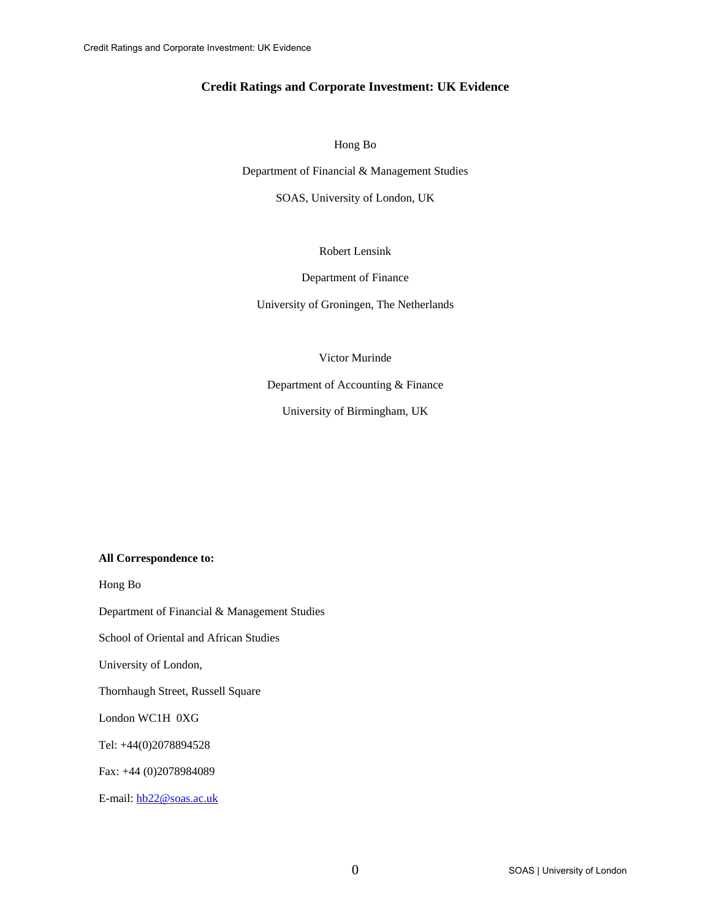# **Credit Ratings and Corporate Investment: UK Evidence**

Hong Bo

Department of Financial & Management Studies

SOAS, University of London, UK

Robert Lensink

Department of Finance

University of Groningen, The Netherlands

Victor Murinde

Department of Accounting & Finance

University of Birmingham, UK

## **All Correspondence to:**

Hong Bo

Department of Financial & Management Studies

School of Oriental and African Studies

University of London,

Thornhaugh Street, Russell Square

London WC1H 0XG

Tel: +44(0)2078894528

Fax: +44 (0)2078984089

E-mail: hb22@soas.ac.uk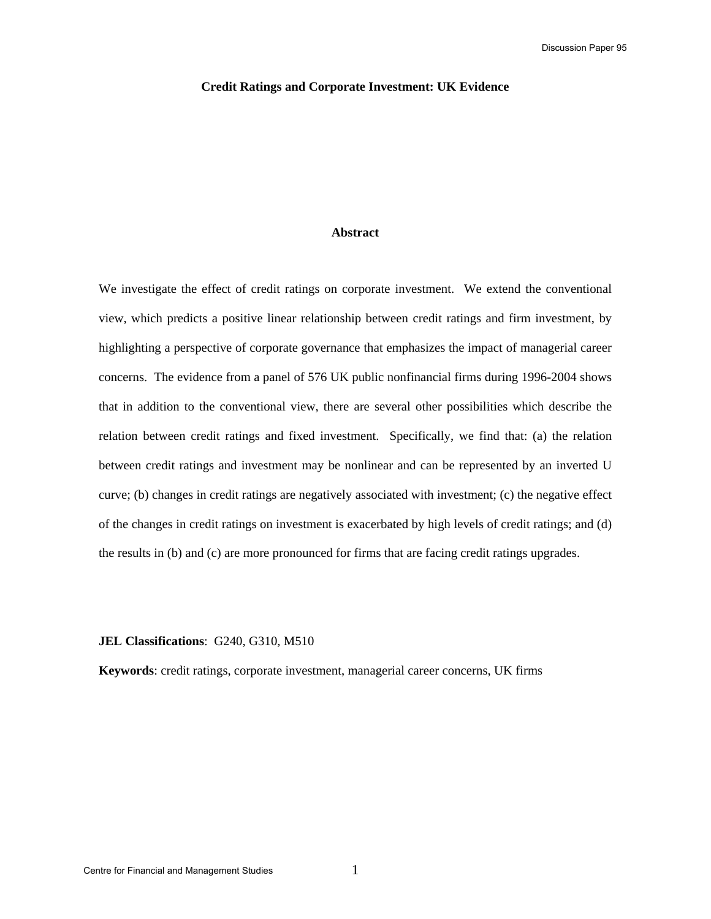#### **Credit Ratings and Corporate Investment: UK Evidence**

#### **Abstract**

We investigate the effect of credit ratings on corporate investment. We extend the conventional view, which predicts a positive linear relationship between credit ratings and firm investment, by highlighting a perspective of corporate governance that emphasizes the impact of managerial career concerns. The evidence from a panel of 576 UK public nonfinancial firms during 1996-2004 shows that in addition to the conventional view, there are several other possibilities which describe the relation between credit ratings and fixed investment. Specifically, we find that: (a) the relation between credit ratings and investment may be nonlinear and can be represented by an inverted U curve; (b) changes in credit ratings are negatively associated with investment; (c) the negative effect of the changes in credit ratings on investment is exacerbated by high levels of credit ratings; and (d) the results in (b) and (c) are more pronounced for firms that are facing credit ratings upgrades.

# **JEL Classifications**: G240, G310, M510

**Keywords**: credit ratings, corporate investment, managerial career concerns, UK firms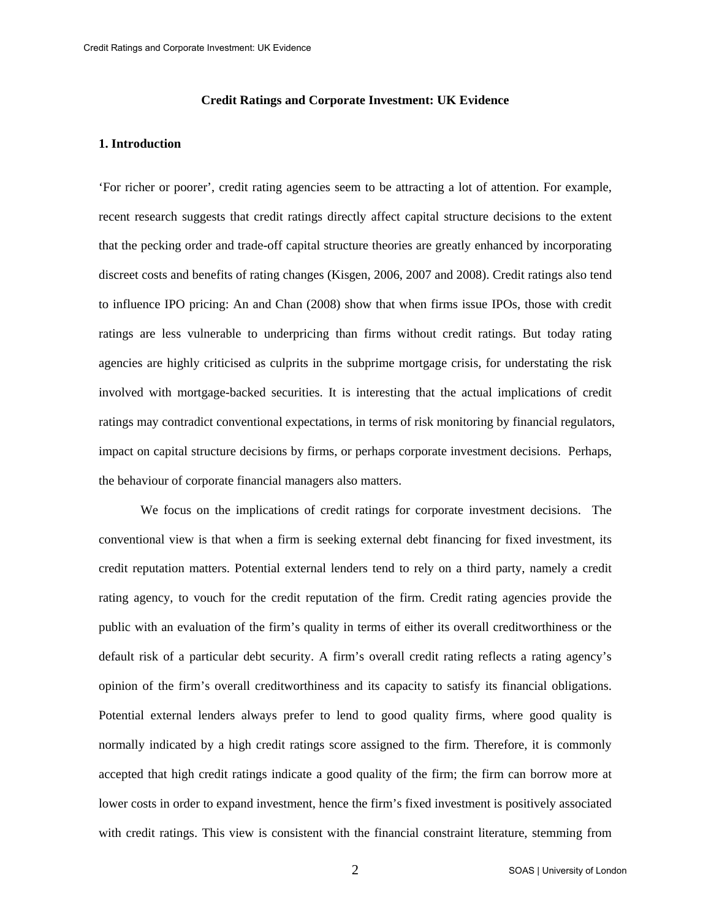### **Credit Ratings and Corporate Investment: UK Evidence**

### **1. Introduction**

'For richer or poorer', credit rating agencies seem to be attracting a lot of attention. For example, recent research suggests that credit ratings directly affect capital structure decisions to the extent that the pecking order and trade-off capital structure theories are greatly enhanced by incorporating discreet costs and benefits of rating changes (Kisgen, 2006, 2007 and 2008). Credit ratings also tend to influence IPO pricing: An and Chan (2008) show that when firms issue IPOs, those with credit ratings are less vulnerable to underpricing than firms without credit ratings. But today rating agencies are highly criticised as culprits in the subprime mortgage crisis, for understating the risk involved with mortgage-backed securities. It is interesting that the actual implications of credit ratings may contradict conventional expectations, in terms of risk monitoring by financial regulators, impact on capital structure decisions by firms, or perhaps corporate investment decisions. Perhaps, the behaviour of corporate financial managers also matters.

We focus on the implications of credit ratings for corporate investment decisions. The conventional view is that when a firm is seeking external debt financing for fixed investment, its credit reputation matters. Potential external lenders tend to rely on a third party, namely a credit rating agency, to vouch for the credit reputation of the firm. Credit rating agencies provide the public with an evaluation of the firm's quality in terms of either its overall creditworthiness or the default risk of a particular debt security. A firm's overall credit rating reflects a rating agency's opinion of the firm's overall creditworthiness and its capacity to satisfy its financial obligations. Potential external lenders always prefer to lend to good quality firms, where good quality is normally indicated by a high credit ratings score assigned to the firm. Therefore, it is commonly accepted that high credit ratings indicate a good quality of the firm; the firm can borrow more at lower costs in order to expand investment, hence the firm's fixed investment is positively associated with credit ratings. This view is consistent with the financial constraint literature, stemming from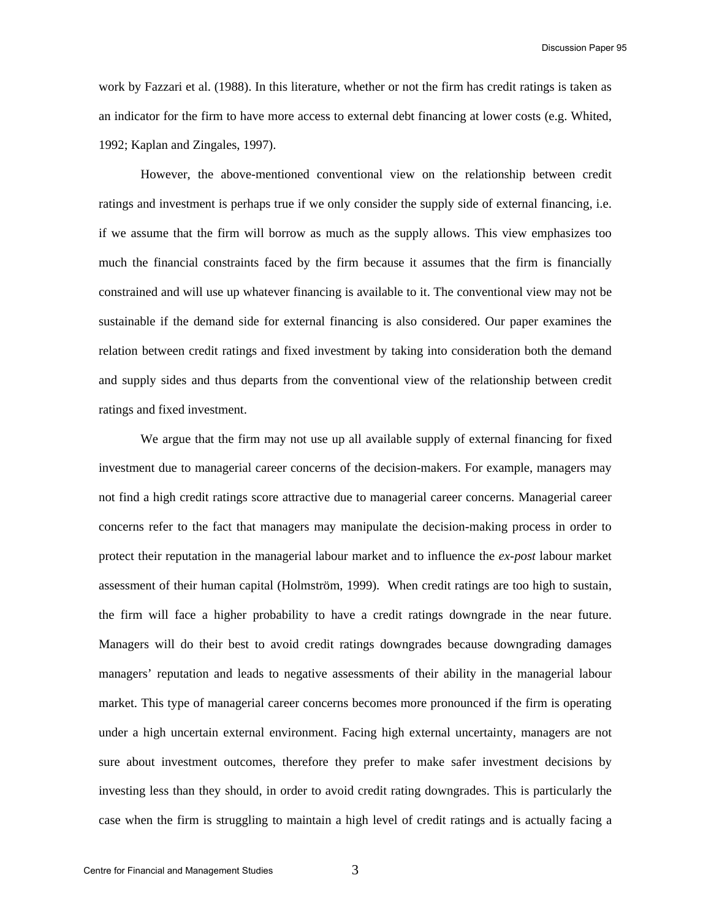work by Fazzari et al. (1988). In this literature, whether or not the firm has credit ratings is taken as an indicator for the firm to have more access to external debt financing at lower costs (e.g. Whited, 1992; Kaplan and Zingales, 1997).

 However, the above-mentioned conventional view on the relationship between credit ratings and investment is perhaps true if we only consider the supply side of external financing, i.e. if we assume that the firm will borrow as much as the supply allows. This view emphasizes too much the financial constraints faced by the firm because it assumes that the firm is financially constrained and will use up whatever financing is available to it. The conventional view may not be sustainable if the demand side for external financing is also considered. Our paper examines the relation between credit ratings and fixed investment by taking into consideration both the demand and supply sides and thus departs from the conventional view of the relationship between credit ratings and fixed investment.

 We argue that the firm may not use up all available supply of external financing for fixed investment due to managerial career concerns of the decision-makers. For example, managers may not find a high credit ratings score attractive due to managerial career concerns. Managerial career concerns refer to the fact that managers may manipulate the decision-making process in order to protect their reputation in the managerial labour market and to influence the *ex-post* labour market assessment of their human capital (Holmström, 1999). When credit ratings are too high to sustain, the firm will face a higher probability to have a credit ratings downgrade in the near future. Managers will do their best to avoid credit ratings downgrades because downgrading damages managers' reputation and leads to negative assessments of their ability in the managerial labour market. This type of managerial career concerns becomes more pronounced if the firm is operating under a high uncertain external environment. Facing high external uncertainty, managers are not sure about investment outcomes, therefore they prefer to make safer investment decisions by investing less than they should, in order to avoid credit rating downgrades. This is particularly the case when the firm is struggling to maintain a high level of credit ratings and is actually facing a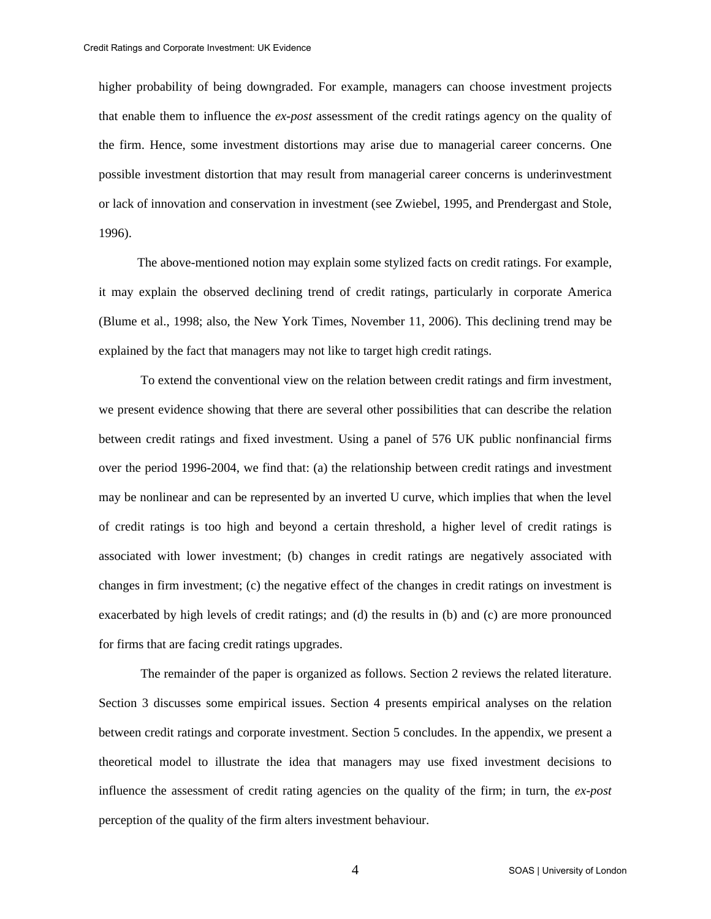higher probability of being downgraded. For example, managers can choose investment projects that enable them to influence the *ex-post* assessment of the credit ratings agency on the quality of the firm. Hence, some investment distortions may arise due to managerial career concerns. One possible investment distortion that may result from managerial career concerns is underinvestment or lack of innovation and conservation in investment (see Zwiebel, 1995, and Prendergast and Stole, 1996).

The above-mentioned notion may explain some stylized facts on credit ratings. For example, it may explain the observed declining trend of credit ratings, particularly in corporate America (Blume et al., 1998; also, the New York Times, November 11, 2006). This declining trend may be explained by the fact that managers may not like to target high credit ratings.

 To extend the conventional view on the relation between credit ratings and firm investment, we present evidence showing that there are several other possibilities that can describe the relation between credit ratings and fixed investment. Using a panel of 576 UK public nonfinancial firms over the period 1996-2004, we find that: (a) the relationship between credit ratings and investment may be nonlinear and can be represented by an inverted U curve, which implies that when the level of credit ratings is too high and beyond a certain threshold, a higher level of credit ratings is associated with lower investment; (b) changes in credit ratings are negatively associated with changes in firm investment; (c) the negative effect of the changes in credit ratings on investment is exacerbated by high levels of credit ratings; and (d) the results in (b) and (c) are more pronounced for firms that are facing credit ratings upgrades.

 The remainder of the paper is organized as follows. Section 2 reviews the related literature. Section 3 discusses some empirical issues. Section 4 presents empirical analyses on the relation between credit ratings and corporate investment. Section 5 concludes. In the appendix, we present a theoretical model to illustrate the idea that managers may use fixed investment decisions to influence the assessment of credit rating agencies on the quality of the firm; in turn, the *ex-post* perception of the quality of the firm alters investment behaviour.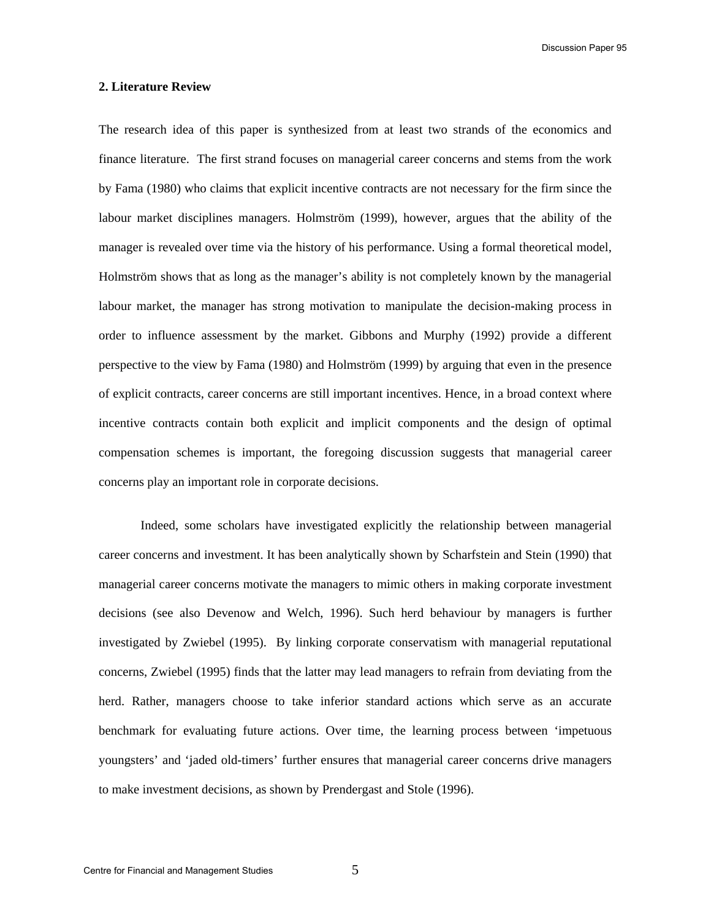Discussion Paper 95

### **2. Literature Review**

The research idea of this paper is synthesized from at least two strands of the economics and finance literature. The first strand focuses on managerial career concerns and stems from the work by Fama (1980) who claims that explicit incentive contracts are not necessary for the firm since the labour market disciplines managers. Holmström (1999), however, argues that the ability of the manager is revealed over time via the history of his performance. Using a formal theoretical model, Holmström shows that as long as the manager's ability is not completely known by the managerial labour market, the manager has strong motivation to manipulate the decision-making process in order to influence assessment by the market. Gibbons and Murphy (1992) provide a different perspective to the view by Fama (1980) and Holmström (1999) by arguing that even in the presence of explicit contracts, career concerns are still important incentives. Hence, in a broad context where incentive contracts contain both explicit and implicit components and the design of optimal compensation schemes is important, the foregoing discussion suggests that managerial career concerns play an important role in corporate decisions.

Indeed, some scholars have investigated explicitly the relationship between managerial career concerns and investment. It has been analytically shown by Scharfstein and Stein (1990) that managerial career concerns motivate the managers to mimic others in making corporate investment decisions (see also Devenow and Welch, 1996). Such herd behaviour by managers is further investigated by Zwiebel (1995). By linking corporate conservatism with managerial reputational concerns, Zwiebel (1995) finds that the latter may lead managers to refrain from deviating from the herd. Rather, managers choose to take inferior standard actions which serve as an accurate benchmark for evaluating future actions. Over time, the learning process between 'impetuous youngsters' and 'jaded old-timers' further ensures that managerial career concerns drive managers to make investment decisions, as shown by Prendergast and Stole (1996).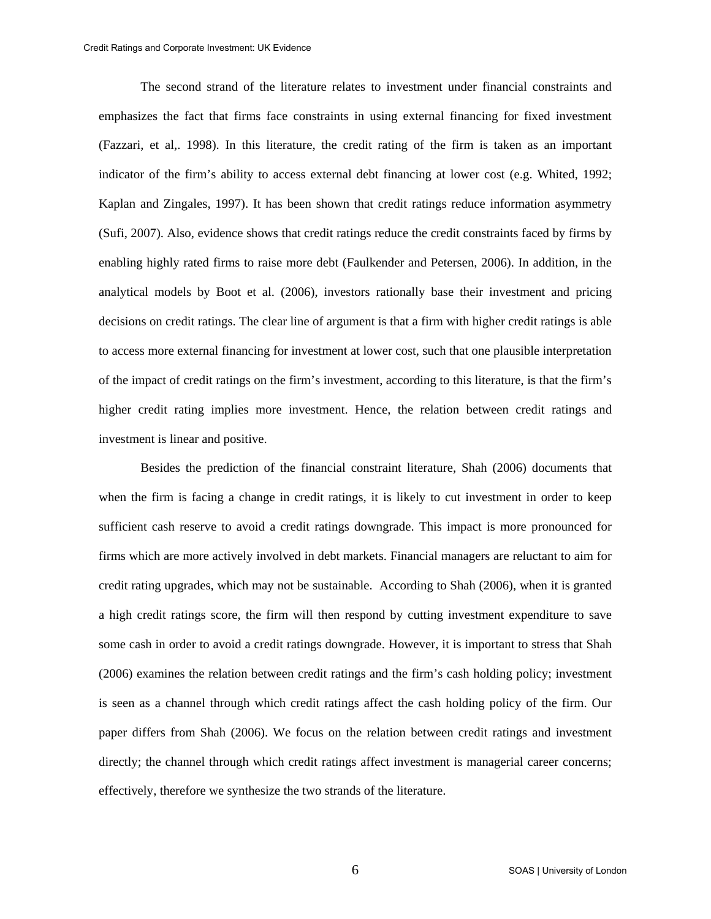The second strand of the literature relates to investment under financial constraints and emphasizes the fact that firms face constraints in using external financing for fixed investment (Fazzari, et al,. 1998). In this literature, the credit rating of the firm is taken as an important indicator of the firm's ability to access external debt financing at lower cost (e.g. Whited, 1992; Kaplan and Zingales, 1997). It has been shown that credit ratings reduce information asymmetry (Sufi, 2007). Also, evidence shows that credit ratings reduce the credit constraints faced by firms by enabling highly rated firms to raise more debt (Faulkender and Petersen, 2006). In addition, in the analytical models by Boot et al. (2006), investors rationally base their investment and pricing decisions on credit ratings. The clear line of argument is that a firm with higher credit ratings is able to access more external financing for investment at lower cost, such that one plausible interpretation of the impact of credit ratings on the firm's investment, according to this literature, is that the firm's higher credit rating implies more investment. Hence, the relation between credit ratings and investment is linear and positive.

 Besides the prediction of the financial constraint literature, Shah (2006) documents that when the firm is facing a change in credit ratings, it is likely to cut investment in order to keep sufficient cash reserve to avoid a credit ratings downgrade. This impact is more pronounced for firms which are more actively involved in debt markets. Financial managers are reluctant to aim for credit rating upgrades, which may not be sustainable. According to Shah (2006), when it is granted a high credit ratings score, the firm will then respond by cutting investment expenditure to save some cash in order to avoid a credit ratings downgrade. However, it is important to stress that Shah (2006) examines the relation between credit ratings and the firm's cash holding policy; investment is seen as a channel through which credit ratings affect the cash holding policy of the firm. Our paper differs from Shah (2006). We focus on the relation between credit ratings and investment directly; the channel through which credit ratings affect investment is managerial career concerns; effectively, therefore we synthesize the two strands of the literature.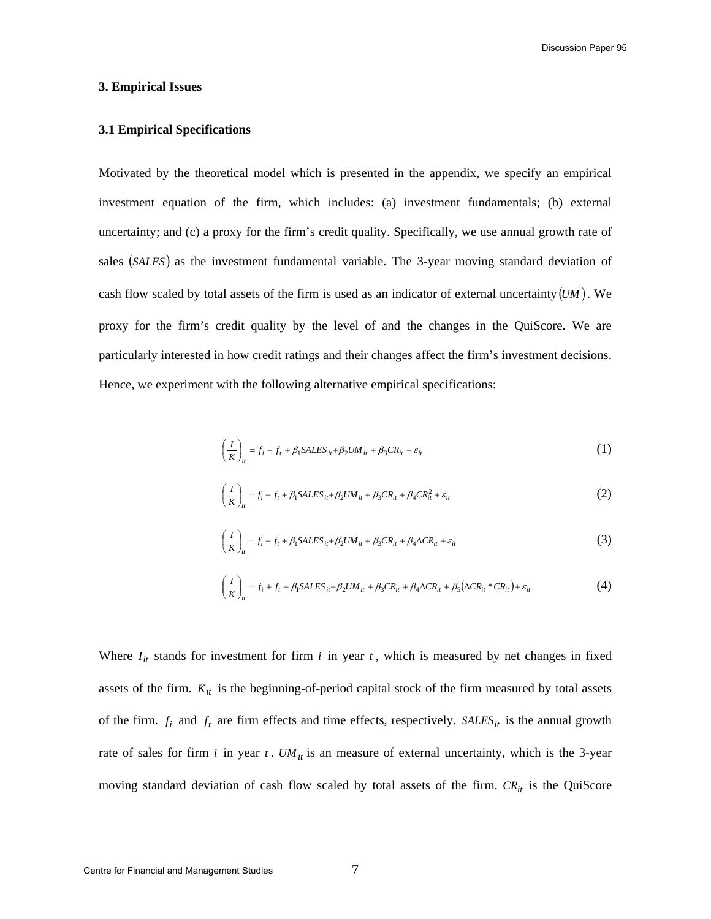Discussion Paper 95

### **3. Empirical Issues**

# **3.1 Empirical Specifications**

Motivated by the theoretical model which is presented in the appendix, we specify an empirical investment equation of the firm, which includes: (a) investment fundamentals; (b) external uncertainty; and (c) a proxy for the firm's credit quality. Specifically, we use annual growth rate of sales (SALES) as the investment fundamental variable. The 3-year moving standard deviation of cash flow scaled by total assets of the firm is used as an indicator of external uncertainty  $(UM)$ . We proxy for the firm's credit quality by the level of and the changes in the QuiScore. We are particularly interested in how credit ratings and their changes affect the firm's investment decisions. Hence, we experiment with the following alternative empirical specifications:

$$
\left(\frac{I}{K}\right)_{it} = f_i + f_t + \beta_1 SALES_{it} + \beta_2 UM_{it} + \beta_3 CR_{it} + \varepsilon_{it}
$$
\n(1)

$$
\left(\frac{I}{K}\right)_{it} = f_i + f_t + \beta_1 SALES_{it} + \beta_2 UM_{it} + \beta_3 CR_{it} + \beta_4 CR_{it}^2 + \varepsilon_{it}
$$
\n(2)

$$
\left(\frac{I}{K}\right)_{it} = f_i + f_t + \beta_1 SALES_{it} + \beta_2 UM_{it} + \beta_3 CR_{it} + \beta_4 \Delta CR_{it} + \varepsilon_{it}
$$
\n(3)

$$
\left(\frac{I}{K}\right)_{it} = f_i + f_t + \beta_1 SALES_{it} + \beta_2 UM_{it} + \beta_3 CR_{it} + \beta_4 \Delta CR_{it} + \beta_5 (\Delta CR_{it} * CR_{it}) + \varepsilon_{it}
$$
\n
$$
\tag{4}
$$

Where  $I_{it}$  stands for investment for firm  $i$  in year  $t$ , which is measured by net changes in fixed assets of the firm.  $K_{it}$  is the beginning-of-period capital stock of the firm measured by total assets of the firm.  $f_i$  and  $f_t$  are firm effects and time effects, respectively. *SALES<sub>it</sub>* is the annual growth rate of sales for firm  $i$  in year  $t$ .  $UM_{it}$  is an measure of external uncertainty, which is the 3-year moving standard deviation of cash flow scaled by total assets of the firm.  $CR_{it}$  is the QuiScore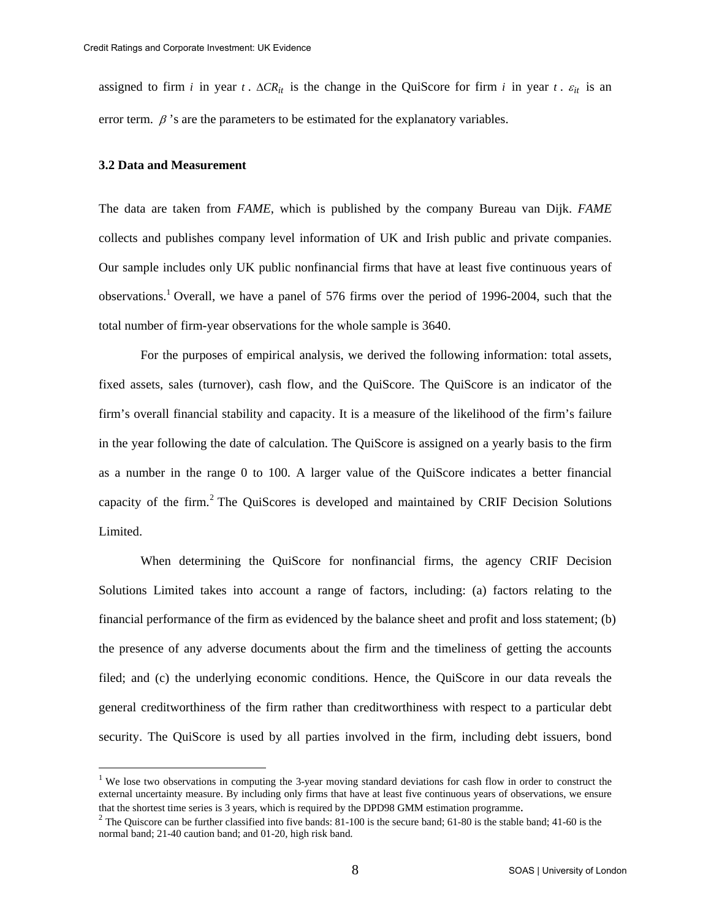assigned to firm *i* in year *t*.  $\Delta CR_{it}$  is the change in the QuiScore for firm *i* in year *t*.  $\varepsilon_{it}$  is an error term.  $\beta$ 's are the parameters to be estimated for the explanatory variables.

## **3.2 Data and Measurement**

<u>.</u>

The data are taken from *FAME*, which is published by the company Bureau van Dijk. *FAME* collects and publishes company level information of UK and Irish public and private companies. Our sample includes only UK public nonfinancial firms that have at least five continuous years of observations.<sup>1</sup> Overall, we have a panel of 576 firms over the period of 1996-2004, such that the total number of firm-year observations for the whole sample is 3640.

 For the purposes of empirical analysis, we derived the following information: total assets, fixed assets, sales (turnover), cash flow, and the QuiScore. The QuiScore is an indicator of the firm's overall financial stability and capacity. It is a measure of the likelihood of the firm's failure in the year following the date of calculation. The QuiScore is assigned on a yearly basis to the firm as a number in the range 0 to 100. A larger value of the QuiScore indicates a better financial capacity of the firm.<sup>2</sup> The QuiScores is developed and maintained by CRIF Decision Solutions Limited.

When determining the QuiScore for nonfinancial firms, the agency CRIF Decision Solutions Limited takes into account a range of factors, including: (a) factors relating to the financial performance of the firm as evidenced by the balance sheet and profit and loss statement; (b) the presence of any adverse documents about the firm and the timeliness of getting the accounts filed; and (c) the underlying economic conditions. Hence, the QuiScore in our data reveals the general creditworthiness of the firm rather than creditworthiness with respect to a particular debt security. The QuiScore is used by all parties involved in the firm, including debt issuers, bond

<sup>&</sup>lt;sup>1</sup> We lose two observations in computing the 3-year moving standard deviations for cash flow in order to construct the external uncertainty measure. By including only firms that have at least five continuous years of observations, we ensure

that the shortest time series is 3 years, which is required by the DPD98 GMM estimation programme.<br><sup>2</sup> The Quiscore can be further classified into five bands: 81-100 is the secure band; 61-80 is the stable band; 41-60 is normal band; 21-40 caution band; and 01-20, high risk band.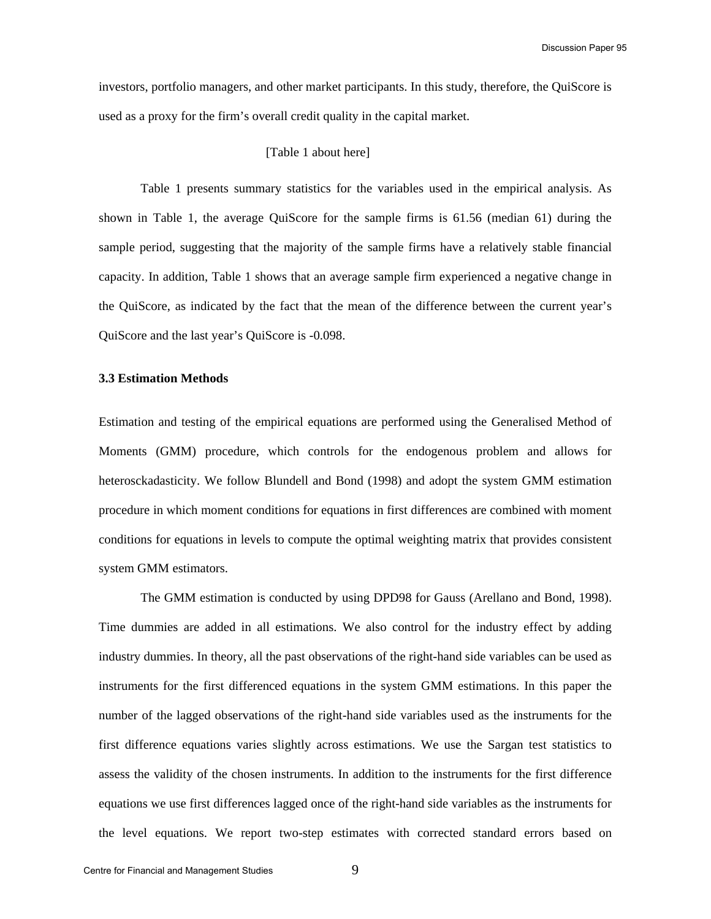Discussion Paper 95

investors, portfolio managers, and other market participants. In this study, therefore, the QuiScore is used as a proxy for the firm's overall credit quality in the capital market.

# [Table 1 about here]

Table 1 presents summary statistics for the variables used in the empirical analysis. As shown in Table 1, the average QuiScore for the sample firms is 61.56 (median 61) during the sample period, suggesting that the majority of the sample firms have a relatively stable financial capacity. In addition, Table 1 shows that an average sample firm experienced a negative change in the QuiScore, as indicated by the fact that the mean of the difference between the current year's QuiScore and the last year's QuiScore is -0.098.

#### **3.3 Estimation Methods**

Estimation and testing of the empirical equations are performed using the Generalised Method of Moments (GMM) procedure, which controls for the endogenous problem and allows for heterosckadasticity. We follow Blundell and Bond (1998) and adopt the system GMM estimation procedure in which moment conditions for equations in first differences are combined with moment conditions for equations in levels to compute the optimal weighting matrix that provides consistent system GMM estimators.

The GMM estimation is conducted by using DPD98 for Gauss (Arellano and Bond, 1998). Time dummies are added in all estimations. We also control for the industry effect by adding industry dummies. In theory, all the past observations of the right-hand side variables can be used as instruments for the first differenced equations in the system GMM estimations. In this paper the number of the lagged observations of the right-hand side variables used as the instruments for the first difference equations varies slightly across estimations. We use the Sargan test statistics to assess the validity of the chosen instruments. In addition to the instruments for the first difference equations we use first differences lagged once of the right-hand side variables as the instruments for the level equations. We report two-step estimates with corrected standard errors based on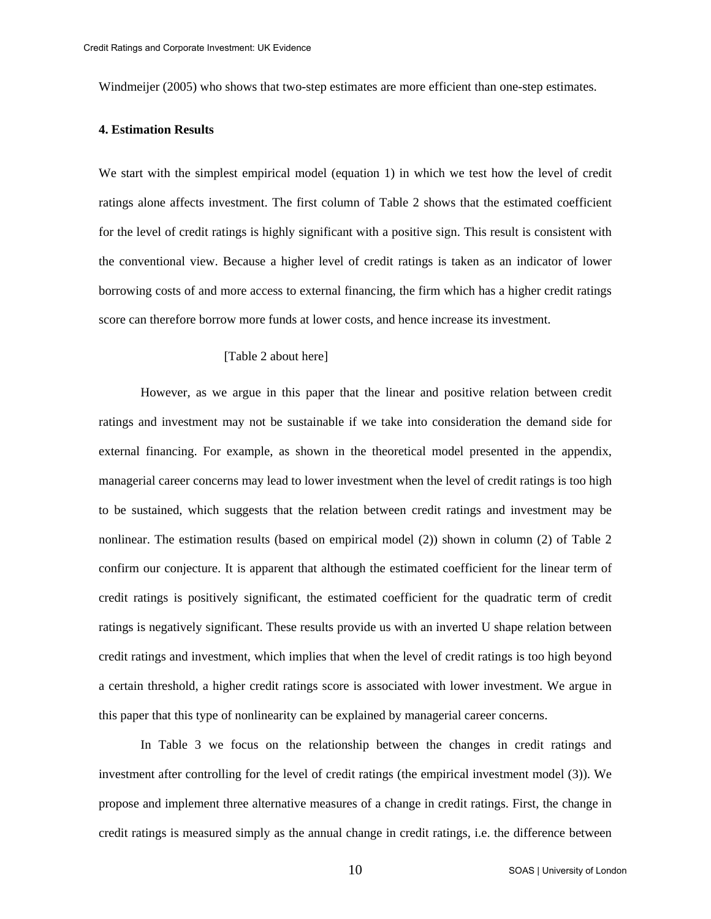Windmeijer (2005) who shows that two-step estimates are more efficient than one-step estimates.

# **4. Estimation Results**

We start with the simplest empirical model (equation 1) in which we test how the level of credit ratings alone affects investment. The first column of Table 2 shows that the estimated coefficient for the level of credit ratings is highly significant with a positive sign. This result is consistent with the conventional view. Because a higher level of credit ratings is taken as an indicator of lower borrowing costs of and more access to external financing, the firm which has a higher credit ratings score can therefore borrow more funds at lower costs, and hence increase its investment.

### [Table 2 about here]

 However, as we argue in this paper that the linear and positive relation between credit ratings and investment may not be sustainable if we take into consideration the demand side for external financing. For example, as shown in the theoretical model presented in the appendix, managerial career concerns may lead to lower investment when the level of credit ratings is too high to be sustained, which suggests that the relation between credit ratings and investment may be nonlinear. The estimation results (based on empirical model (2)) shown in column (2) of Table 2 confirm our conjecture. It is apparent that although the estimated coefficient for the linear term of credit ratings is positively significant, the estimated coefficient for the quadratic term of credit ratings is negatively significant. These results provide us with an inverted U shape relation between credit ratings and investment, which implies that when the level of credit ratings is too high beyond a certain threshold, a higher credit ratings score is associated with lower investment. We argue in this paper that this type of nonlinearity can be explained by managerial career concerns.

 In Table 3 we focus on the relationship between the changes in credit ratings and investment after controlling for the level of credit ratings (the empirical investment model (3)). We propose and implement three alternative measures of a change in credit ratings. First, the change in credit ratings is measured simply as the annual change in credit ratings, i.e. the difference between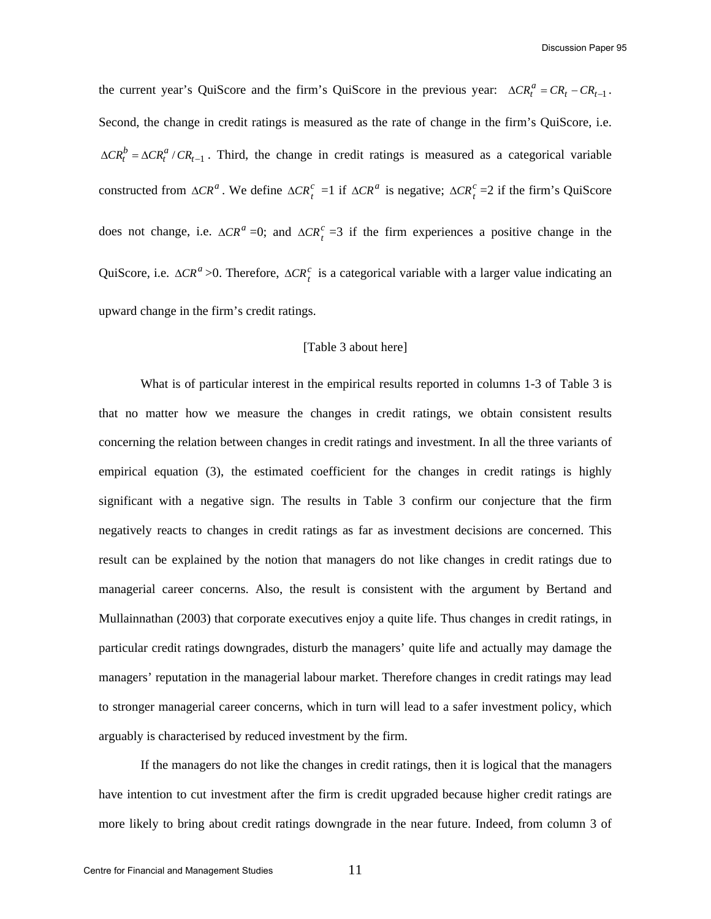Discussion Paper 95

the current year's QuiScore and the firm's QuiScore in the previous year:  $\Delta CR_t^a = CR_t - CR_{t-1}$ . Second, the change in credit ratings is measured as the rate of change in the firm's QuiScore, i.e.  $\Delta CR_t^b = \Delta CR_t^a / CR_{t-1}$ . Third, the change in credit ratings is measured as a categorical variable constructed from  $\Delta CR^a$ . We define  $\Delta CR_t^c = 1$  if  $\Delta CR^a$  is negative;  $\Delta CR_t^c = 2$  if the firm's QuiScore does not change, i.e.  $\Delta CR^a = 0$ ; and  $\Delta CR^c = 3$  if the firm experiences a positive change in the QuiScore, i.e.  $\Delta CR^a > 0$ . Therefore,  $\Delta CR_t^c$  is a categorical variable with a larger value indicating an upward change in the firm's credit ratings.

### [Table 3 about here]

What is of particular interest in the empirical results reported in columns 1-3 of Table 3 is that no matter how we measure the changes in credit ratings, we obtain consistent results concerning the relation between changes in credit ratings and investment. In all the three variants of empirical equation (3), the estimated coefficient for the changes in credit ratings is highly significant with a negative sign. The results in Table 3 confirm our conjecture that the firm negatively reacts to changes in credit ratings as far as investment decisions are concerned. This result can be explained by the notion that managers do not like changes in credit ratings due to managerial career concerns. Also, the result is consistent with the argument by Bertand and Mullainnathan (2003) that corporate executives enjoy a quite life. Thus changes in credit ratings, in particular credit ratings downgrades, disturb the managers' quite life and actually may damage the managers' reputation in the managerial labour market. Therefore changes in credit ratings may lead to stronger managerial career concerns, which in turn will lead to a safer investment policy, which arguably is characterised by reduced investment by the firm.

 If the managers do not like the changes in credit ratings, then it is logical that the managers have intention to cut investment after the firm is credit upgraded because higher credit ratings are more likely to bring about credit ratings downgrade in the near future. Indeed, from column 3 of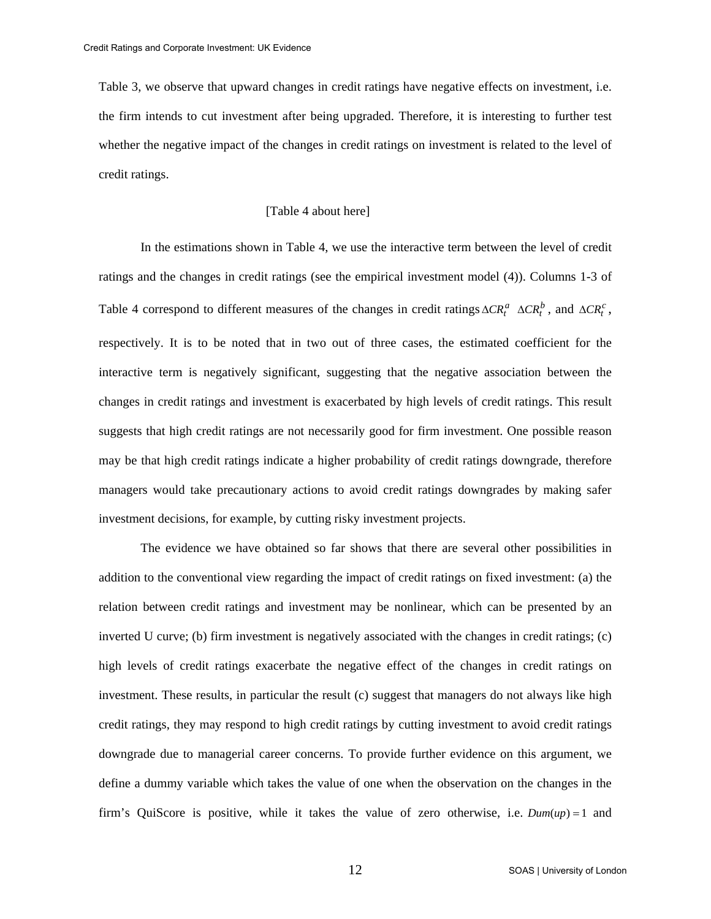Table 3, we observe that upward changes in credit ratings have negative effects on investment, i.e. the firm intends to cut investment after being upgraded. Therefore, it is interesting to further test whether the negative impact of the changes in credit ratings on investment is related to the level of credit ratings.

# [Table 4 about here]

In the estimations shown in Table 4, we use the interactive term between the level of credit ratings and the changes in credit ratings (see the empirical investment model (4)). Columns 1-3 of Table 4 correspond to different measures of the changes in credit ratings  $\Delta CR_t^a$   $\Delta CR_t^b$ , and  $\Delta CR_t^c$ , respectively. It is to be noted that in two out of three cases, the estimated coefficient for the interactive term is negatively significant, suggesting that the negative association between the changes in credit ratings and investment is exacerbated by high levels of credit ratings. This result suggests that high credit ratings are not necessarily good for firm investment. One possible reason may be that high credit ratings indicate a higher probability of credit ratings downgrade, therefore managers would take precautionary actions to avoid credit ratings downgrades by making safer investment decisions, for example, by cutting risky investment projects.

 The evidence we have obtained so far shows that there are several other possibilities in addition to the conventional view regarding the impact of credit ratings on fixed investment: (a) the relation between credit ratings and investment may be nonlinear, which can be presented by an inverted U curve; (b) firm investment is negatively associated with the changes in credit ratings; (c) high levels of credit ratings exacerbate the negative effect of the changes in credit ratings on investment. These results, in particular the result (c) suggest that managers do not always like high credit ratings, they may respond to high credit ratings by cutting investment to avoid credit ratings downgrade due to managerial career concerns. To provide further evidence on this argument, we define a dummy variable which takes the value of one when the observation on the changes in the firm's QuiScore is positive, while it takes the value of zero otherwise, i.e. *Dum*(*up*) = 1 and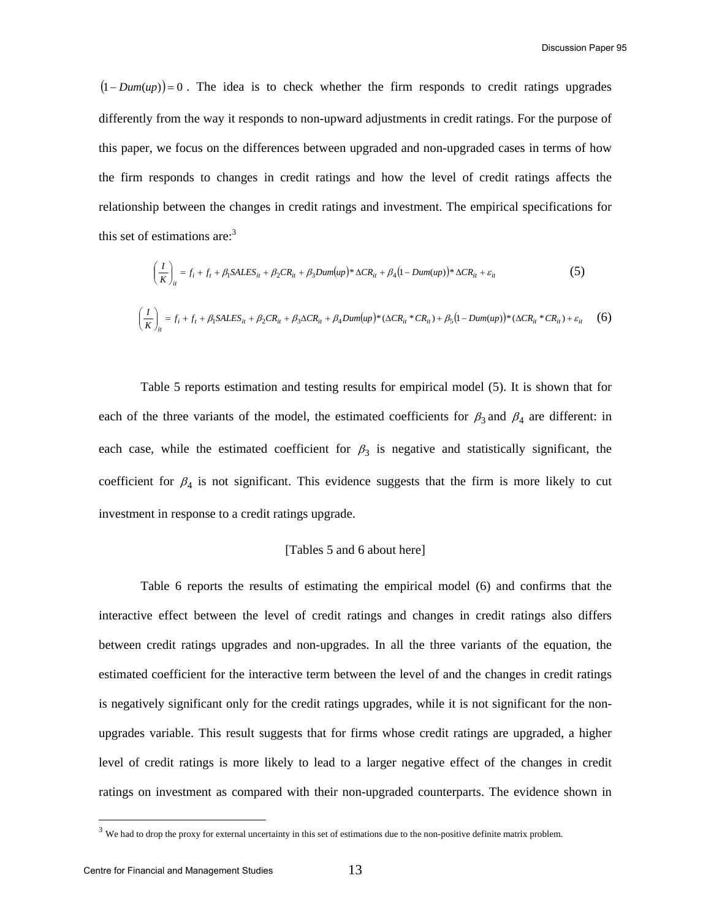$(1-Dum(up))=0$ . The idea is to check whether the firm responds to credit ratings upgrades differently from the way it responds to non-upward adjustments in credit ratings. For the purpose of this paper, we focus on the differences between upgraded and non-upgraded cases in terms of how the firm responds to changes in credit ratings and how the level of credit ratings affects the relationship between the changes in credit ratings and investment. The empirical specifications for this set of estimations are: $3$ 

$$
\left(\frac{I}{K}\right)_{it} = f_i + f_t + \beta_1 SALES_{it} + \beta_2 CR_{it} + \beta_3 Dum(up) * \Delta CR_{it} + \beta_4 (1 - Dum(up)) * \Delta CR_{it} + \varepsilon_{it}
$$
\n(5)  
\n
$$
\left(\frac{I}{K}\right)_{it} = f_i + f_t + \beta_1 SALES_{it} + \beta_2 CR_{it} + \beta_3 \Delta CR_{it} + \beta_4 Dum(up) * (\Delta CR_{it} * CR_{it}) + \beta_5 (1 - Dum(up)) * (\Delta CR_{it} * CR_{it}) + \varepsilon_{it}
$$
\n(6)

 Table 5 reports estimation and testing results for empirical model (5). It is shown that for each of the three variants of the model, the estimated coefficients for  $\beta_3$  and  $\beta_4$  are different: in each case, while the estimated coefficient for  $\beta_3$  is negative and statistically significant, the coefficient for  $\beta_4$  is not significant. This evidence suggests that the firm is more likely to cut investment in response to a credit ratings upgrade.

# [Tables 5 and 6 about here]

Table 6 reports the results of estimating the empirical model (6) and confirms that the interactive effect between the level of credit ratings and changes in credit ratings also differs between credit ratings upgrades and non-upgrades. In all the three variants of the equation, the estimated coefficient for the interactive term between the level of and the changes in credit ratings is negatively significant only for the credit ratings upgrades, while it is not significant for the nonupgrades variable. This result suggests that for firms whose credit ratings are upgraded, a higher level of credit ratings is more likely to lead to a larger negative effect of the changes in credit ratings on investment as compared with their non-upgraded counterparts. The evidence shown in

 $3$  We had to drop the proxy for external uncertainty in this set of estimations due to the non-positive definite matrix problem.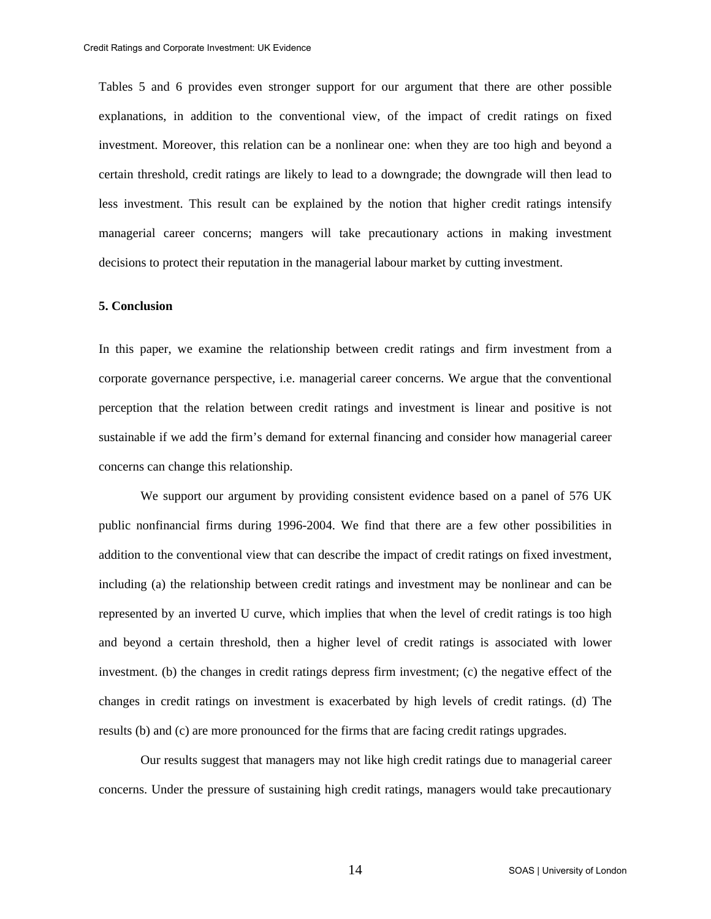Tables 5 and 6 provides even stronger support for our argument that there are other possible explanations, in addition to the conventional view, of the impact of credit ratings on fixed investment. Moreover, this relation can be a nonlinear one: when they are too high and beyond a certain threshold, credit ratings are likely to lead to a downgrade; the downgrade will then lead to less investment. This result can be explained by the notion that higher credit ratings intensify managerial career concerns; mangers will take precautionary actions in making investment decisions to protect their reputation in the managerial labour market by cutting investment.

# **5. Conclusion**

In this paper, we examine the relationship between credit ratings and firm investment from a corporate governance perspective, i.e. managerial career concerns. We argue that the conventional perception that the relation between credit ratings and investment is linear and positive is not sustainable if we add the firm's demand for external financing and consider how managerial career concerns can change this relationship.

 We support our argument by providing consistent evidence based on a panel of 576 UK public nonfinancial firms during 1996-2004. We find that there are a few other possibilities in addition to the conventional view that can describe the impact of credit ratings on fixed investment, including (a) the relationship between credit ratings and investment may be nonlinear and can be represented by an inverted U curve, which implies that when the level of credit ratings is too high and beyond a certain threshold, then a higher level of credit ratings is associated with lower investment. (b) the changes in credit ratings depress firm investment; (c) the negative effect of the changes in credit ratings on investment is exacerbated by high levels of credit ratings. (d) The results (b) and (c) are more pronounced for the firms that are facing credit ratings upgrades.

 Our results suggest that managers may not like high credit ratings due to managerial career concerns. Under the pressure of sustaining high credit ratings, managers would take precautionary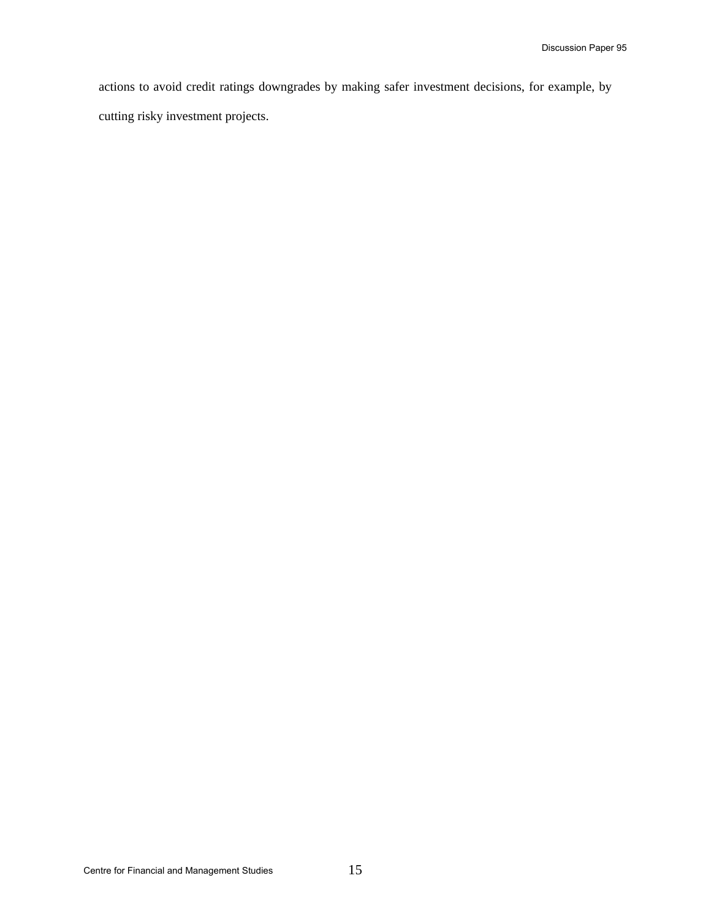actions to avoid credit ratings downgrades by making safer investment decisions, for example, by cutting risky investment projects.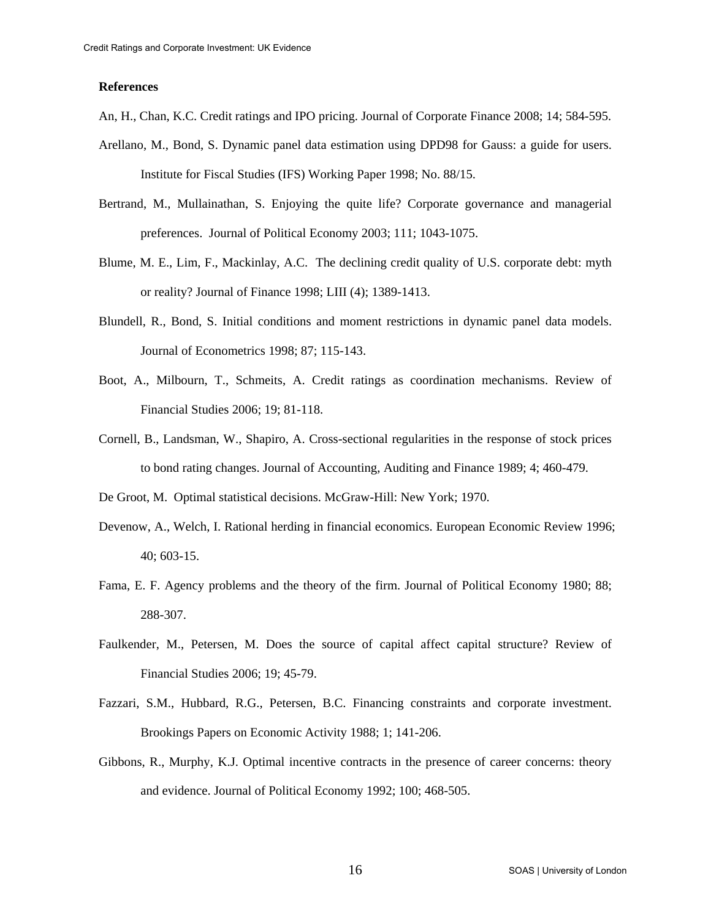### **References**

- An, H., Chan, K.C. Credit ratings and IPO pricing. Journal of Corporate Finance 2008; 14; 584-595.
- Arellano, M., Bond, S. Dynamic panel data estimation using DPD98 for Gauss: a guide for users. Institute for Fiscal Studies (IFS) Working Paper 1998; No. 88/15.
- Bertrand, M., Mullainathan, S. Enjoying the quite life? Corporate governance and managerial preferences. Journal of Political Economy 2003; 111; 1043-1075.
- Blume, M. E., Lim, F., Mackinlay, A.C. The declining credit quality of U.S. corporate debt: myth or reality? Journal of Finance 1998; LIII (4); 1389-1413.
- Blundell, R., Bond, S. Initial conditions and moment restrictions in dynamic panel data models. Journal of Econometrics 1998; 87; 115-143.
- Boot, A., Milbourn, T., Schmeits, A. Credit ratings as coordination mechanisms. Review of Financial Studies 2006; 19; 81-118.
- Cornell, B., Landsman, W., Shapiro, A. Cross-sectional regularities in the response of stock prices to bond rating changes. Journal of Accounting, Auditing and Finance 1989; 4; 460-479.
- De Groot, M. Optimal statistical decisions. McGraw-Hill: New York; 1970.
- Devenow, A., Welch, I. Rational herding in financial economics. European Economic Review 1996; 40; 603-15.
- Fama, E. F. Agency problems and the theory of the firm. Journal of Political Economy 1980; 88; 288-307.
- Faulkender, M., Petersen, M. Does the source of capital affect capital structure? Review of Financial Studies 2006; 19; 45-79.
- Fazzari, S.M., Hubbard, R.G., Petersen, B.C. Financing constraints and corporate investment. Brookings Papers on Economic Activity 1988; 1; 141-206.
- Gibbons, R., Murphy, K.J. Optimal incentive contracts in the presence of career concerns: theory and evidence. Journal of Political Economy 1992; 100; 468-505.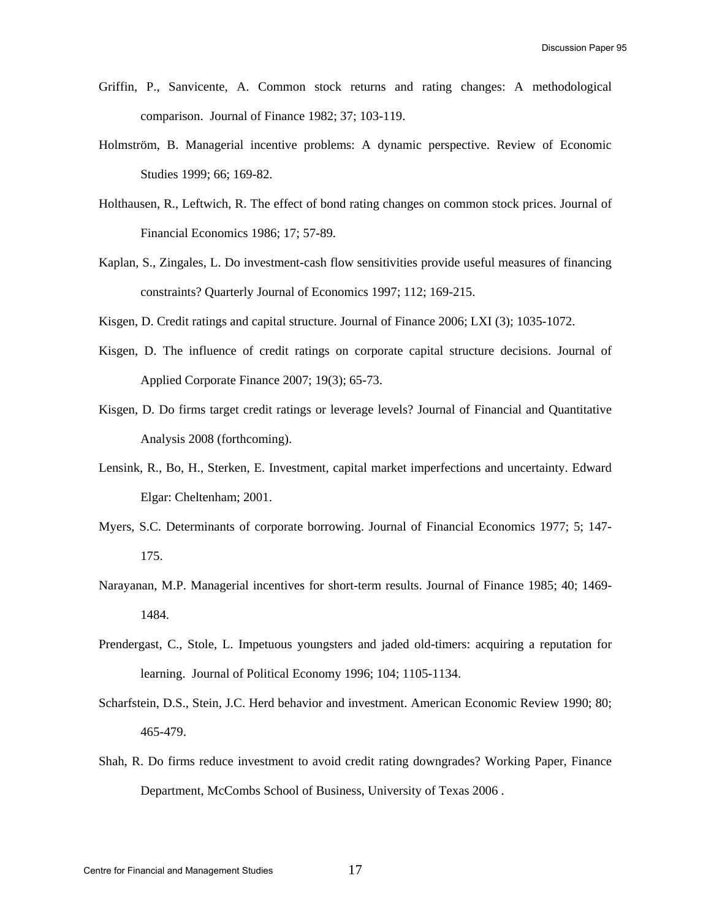- Griffin, P., Sanvicente, A. Common stock returns and rating changes: A methodological comparison. Journal of Finance 1982; 37; 103-119.
- Holmström, B. Managerial incentive problems: A dynamic perspective. Review of Economic Studies 1999; 66; 169-82.
- Holthausen, R., Leftwich, R. The effect of bond rating changes on common stock prices. Journal of Financial Economics 1986; 17; 57-89.
- Kaplan, S., Zingales, L. Do investment-cash flow sensitivities provide useful measures of financing constraints? Quarterly Journal of Economics 1997; 112; 169-215.
- Kisgen, D. Credit ratings and capital structure. Journal of Finance 2006; LXI (3); 1035-1072.
- Kisgen, D. The influence of credit ratings on corporate capital structure decisions. Journal of Applied Corporate Finance 2007; 19(3); 65-73.
- Kisgen, D. Do firms target credit ratings or leverage levels? Journal of Financial and Quantitative Analysis 2008 (forthcoming).
- Lensink, R., Bo, H., Sterken, E. Investment, capital market imperfections and uncertainty. Edward Elgar: Cheltenham; 2001.
- Myers, S.C. Determinants of corporate borrowing. Journal of Financial Economics 1977; 5; 147- 175.
- Narayanan, M.P. Managerial incentives for short-term results. Journal of Finance 1985; 40; 1469- 1484.
- Prendergast, C., Stole, L. Impetuous youngsters and jaded old-timers: acquiring a reputation for learning. Journal of Political Economy 1996; 104; 1105-1134.
- Scharfstein, D.S., Stein, J.C. Herd behavior and investment. American Economic Review 1990; 80; 465-479.
- Shah, R. Do firms reduce investment to avoid credit rating downgrades? Working Paper, Finance Department, McCombs School of Business, University of Texas 2006 .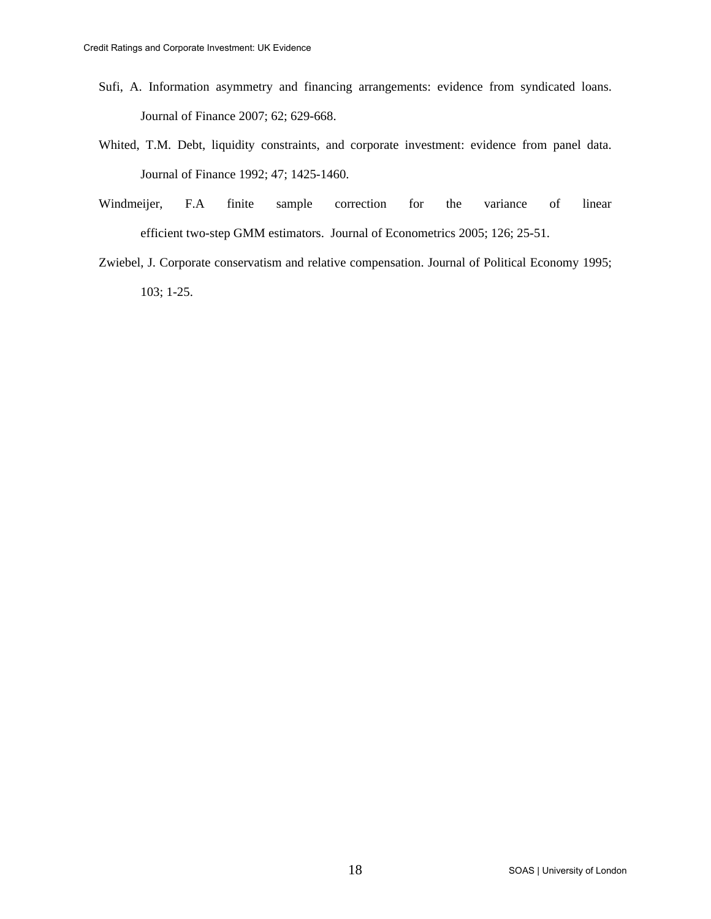- Sufi, A. Information asymmetry and financing arrangements: evidence from syndicated loans. Journal of Finance 2007; 62; 629-668.
- Whited, T.M. Debt, liquidity constraints, and corporate investment: evidence from panel data. Journal of Finance 1992; 47; 1425-1460.
- Windmeijer, F.A finite sample correction for the variance of linear efficient two-step GMM estimators. Journal of Econometrics 2005; 126; 25-51.
- Zwiebel, J. Corporate conservatism and relative compensation. Journal of Political Economy 1995; 103; 1-25.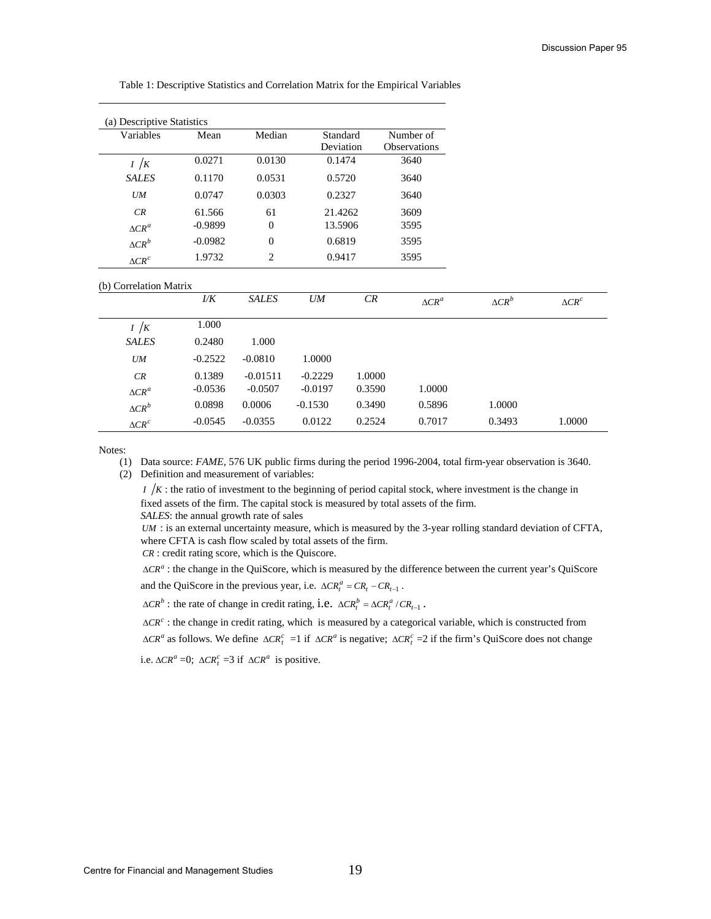| (a) Descriptive Statistics |           |                  |           |        |               |               |               |
|----------------------------|-----------|------------------|-----------|--------|---------------|---------------|---------------|
| Variables                  | Mean      | Median           | Standard  |        | Number of     |               |               |
|                            |           |                  | Deviation |        | Observations  |               |               |
| I / K                      | 0.0271    | 0.0130           | 0.1474    |        | 3640          |               |               |
| <b>SALES</b>               | 0.1170    | 0.0531           | 0.5720    |        | 3640          |               |               |
| <b>UM</b>                  | 0.0747    | 0.0303           | 0.2327    |        | 3640          |               |               |
| CR                         | 61.566    | 61               | 21.4262   |        | 3609          |               |               |
| $\Delta CR^a$              | $-0.9899$ | $\boldsymbol{0}$ | 13.5906   |        | 3595          |               |               |
| $\Delta CR^b$              | $-0.0982$ | $\mathbf{0}$     | 0.6819    |        | 3595          |               |               |
| $\triangle CR^c$           | 1.9732    | $\overline{2}$   | 0.9417    |        | 3595          |               |               |
| (b) Correlation Matrix     |           |                  |           |        |               |               |               |
|                            | 1/K       | <b>SALES</b>     | <b>UM</b> | CR     | $\Delta CR^a$ | $\Delta CR^b$ | $\Delta CR^c$ |
| I / K                      | 1.000     |                  |           |        |               |               |               |
| <b>SALES</b>               | 0.2480    | 1.000            |           |        |               |               |               |
| <b>UM</b>                  | $-0.2522$ | $-0.0810$        | 1.0000    |        |               |               |               |
| CR                         | 0.1389    | $-0.01511$       | $-0.2229$ | 1.0000 |               |               |               |
| $\Delta CR^a$              | $-0.0536$ | $-0.0507$        | $-0.0197$ | 0.3590 | 1.0000        |               |               |
| $\Delta CR^b$              | 0.0898    | 0.0006           | $-0.1530$ | 0.3490 | 0.5896        | 1.0000        |               |
| $\triangle CR^c$           | $-0.0545$ | $-0.0355$        | 0.0122    | 0.2524 | 0.7017        | 0.3493        | 1.0000        |

Table 1: Descriptive Statistics and Correlation Matrix for the Empirical Variables

Notes:

(1) Data source: *FAME*, 576 UK public firms during the period 1996-2004, total firm-year observation is 3640. (2) Definition and measurement of variables:

 $I / K$ : the ratio of investment to the beginning of period capital stock, where investment is the change in fixed assets of the firm. The capital stock is measured by total assets of the firm. *SALES*: the annual growth rate of sales

*UM* : is an external uncertainty measure, which is measured by the 3-year rolling standard deviation of CFTA, where CFTA is cash flow scaled by total assets of the firm.

*CR* : credit rating score, which is the Quiscore.

*<sup>a</sup>* ∆*CR* : the change in the QuiScore, which is measured by the difference between the current year's QuiScore and the QuiScore in the previous year, i.e.  $\Delta CR_i^a = CR_i - CR_{i-1}$ .

 $\Delta CR^b$ : the rate of change in credit rating, i.e.  $\Delta CR_t^b = \Delta CR_t^a / CR_{t-1}$ .

 $ΔCR<sup>c</sup>$ : the change in credit rating, which is measured by a categorical variable, which is constructed from  $\Delta CR^a$  as follows. We define  $\Delta CR_f^c =1$  if  $\Delta CR^a$  is negative;  $\Delta CR_f^c =2$  if the firm's QuiScore does not change i.e.  $\Delta CR^a$  =0;  $\Delta CR_t^c$  =3 if  $\Delta CR^a$  is positive.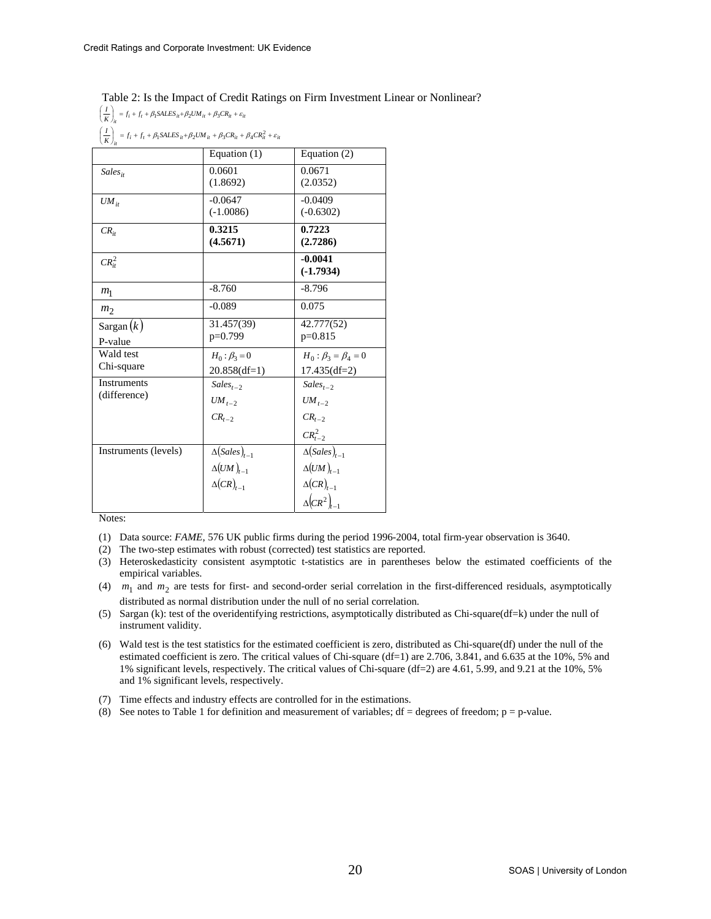# Table 2: Is the Impact of Credit Ratings on Firm Investment Linear or Nonlinear?

 $\left(\frac{I}{K}\right)_{it} = f_i + f_t + \beta_1 SALES_{it} + \beta_2 UM_{it} + \beta_3 CR_{it} + \varepsilon_{it}$ 

 $\left(\frac{I}{K}\right)_{it} = f_i + f_t + \beta_1 SALES_{it} + \beta_2 UM_{it} + \beta_3 CR_{it} + \beta_4 CR_{it}^2 + \varepsilon_{it}$ 

| $(K)_{it}$           |                                    |                                    |
|----------------------|------------------------------------|------------------------------------|
|                      | Equation (1)                       | Equation (2)                       |
| $Sales_{it}$         | 0.0601                             | 0.0671                             |
|                      | (1.8692)                           | (2.0352)                           |
| $UM_{it}$            | $-0.0647$                          | $-0.0409$                          |
|                      | $(-1.0086)$                        | $(-0.6302)$                        |
| $CR_{it}$            | 0.3215                             | 0.7223                             |
|                      | (4.5671)                           | (2.7286)                           |
| $CR_{it}^2$          |                                    | $-0.0041$                          |
|                      |                                    | $(-1.7934)$                        |
| m <sub>1</sub>       | $-8.760$                           | $-8.796$                           |
| m <sub>2</sub>       | $-0.089$                           | 0.075                              |
| Sargan $(k)$         | 31.457(39)                         | 42.777(52)                         |
| P-value              | p=0.799                            | $p=0.815$                          |
| Wald test            | $H_0: \beta_3 = 0$                 | $H_0: \beta_3 = \beta_4 = 0$       |
| Chi-square           | $20.858(df=1)$                     | $17.435(df=2)$                     |
| <b>Instruments</b>   | $Sales_{t-2}$                      | $Sales_{t-2}$                      |
| (difference)         | $UM_{t-2}$                         | $UM_{t-2}$                         |
|                      | $CR_{t-2}$                         | $CR_{t-2}$                         |
|                      |                                    | $CR_{t-2}^{2}$                     |
| Instruments (levels) | $\Delta(Sales)_{t-1}$              | $\Delta(Sales)_{t-1}$              |
|                      | $\Delta \bigl( U M \,\bigr)_{t-1}$ | $\Delta (UM)_{t-1}$                |
|                      | $\Delta(CR)_{t-1}$                 | $\Delta(CR)_{t-1}$                 |
|                      |                                    | $\Delta$ $\left(CR^2\right)_{t=1}$ |

- (1) Data source: *FAME*, 576 UK public firms during the period 1996-2004, total firm-year observation is 3640.
- (2) The two-step estimates with robust (corrected) test statistics are reported.
- (3) Heteroskedasticity consistent asymptotic t-statistics are in parentheses below the estimated coefficients of the empirical variables.
- (4)  $m_1$  and  $m_2$  are tests for first- and second-order serial correlation in the first-differenced residuals, asymptotically distributed as normal distribution under the null of no serial correlation.
- (5) Sargan (k): test of the overidentifying restrictions, asymptotically distributed as Chi-square(df=k) under the null of instrument validity.
- (6) Wald test is the test statistics for the estimated coefficient is zero, distributed as Chi-square(df) under the null of the estimated coefficient is zero. The critical values of Chi-square (df=1) are 2.706, 3.841, and 6.635 at the 10%, 5% and 1% significant levels, respectively. The critical values of Chi-square (df=2) are 4.61, 5.99, and 9.21 at the 10%, 5% and 1% significant levels, respectively.
- (7) Time effects and industry effects are controlled for in the estimations.
- (8) See notes to Table 1 for definition and measurement of variables;  $df = degrees of freedom$ ;  $p = p-value$ .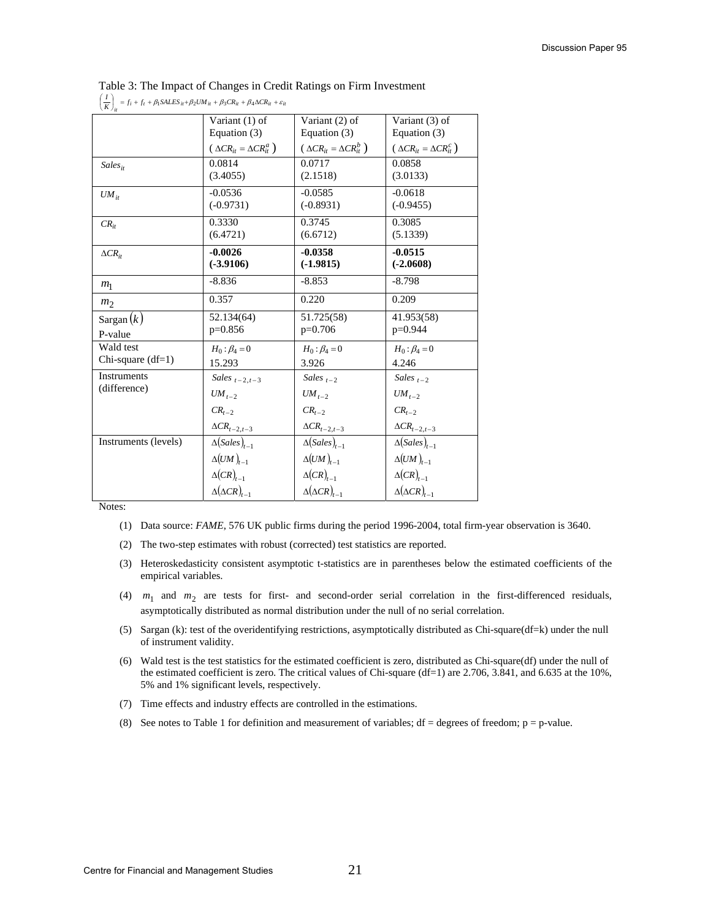| $\left(\frac{I}{K}\right)_{ii} = f_i + f_t + \beta_1 SALES_{it} + \beta_2 UM_{it} + \beta_3 CR_{it} + \beta_4 \Delta CR_{it} + \varepsilon_{it}$ |                                       |                                       |                                       |
|--------------------------------------------------------------------------------------------------------------------------------------------------|---------------------------------------|---------------------------------------|---------------------------------------|
|                                                                                                                                                  | Variant (1) of                        | Variant (2) of                        | Variant (3) of                        |
|                                                                                                                                                  | Equation (3)                          | Equation (3)                          | Equation (3)                          |
|                                                                                                                                                  | $(\Delta CR_{it} = \Delta CR_{it}^a)$ | $(\Delta CR_{it} = \Delta CR_{it}^b)$ | $(\Delta CR_{it} = \Delta CR_{it}^c)$ |
| $Sales_{it}$                                                                                                                                     | 0.0814                                | 0.0717                                | 0.0858                                |
|                                                                                                                                                  | (3.4055)                              | (2.1518)                              | (3.0133)                              |
| $UM_{it}$                                                                                                                                        | $-0.0536$                             | $-0.0585$                             | $-0.0618$                             |
|                                                                                                                                                  | $(-0.9731)$                           | $(-0.8931)$                           | $(-0.9455)$                           |
| $CR_{it}$                                                                                                                                        | 0.3330                                | 0.3745                                | 0.3085                                |
|                                                                                                                                                  | (6.4721)                              | (6.6712)                              | (5.1339)                              |
| $\Delta CR_{it}$                                                                                                                                 | $-0.0026$                             | $-0.0358$                             | $-0.0515$                             |
|                                                                                                                                                  | $(-3.9106)$                           | $(-1.9815)$                           | $(-2.0608)$                           |
| m <sub>1</sub>                                                                                                                                   | $-8.836$                              | $-8.853$                              | $-8.798$                              |
| m <sub>2</sub>                                                                                                                                   | 0.357                                 | 0.220                                 | 0.209                                 |
| Sargan $(k)$                                                                                                                                     | 52.134(64)                            | 51.725(58)                            | 41.953(58)                            |
| P-value                                                                                                                                          | $p=0.856$                             | $p=0.706$                             | $p=0.944$                             |
| Wald test                                                                                                                                        | $H_0: \beta_4 = 0$                    | $H_0: \beta_4 = 0$                    | $H_0: \beta_4 = 0$                    |
| Chi-square $(df=1)$                                                                                                                              | 15.293                                | 3.926                                 | 4.246                                 |
| Instruments                                                                                                                                      | Sales $_{t-2,t-3}$                    | Sales $_{t=2}$                        | Sales $_{t-2}$                        |
| (difference)                                                                                                                                     | $UM_{t-2}$                            | $UM_{t-2}$                            | $UM_{t-2}$                            |
|                                                                                                                                                  | $CR_{t-2}$                            | $CR_{t-2}$                            | $CR_{t-2}$                            |
|                                                                                                                                                  | $\Delta CR_{t-2,t-3}$                 | $\Delta CR_{t-2,t-3}$                 | $\Delta CR_{t-2,t-3}$                 |
| Instruments (levels)                                                                                                                             | $\Delta(Sales)_{t-1}$                 | $\Delta(Sales)_{t-1}$                 | $\Delta(Sales)_{t-1}$                 |
|                                                                                                                                                  | $\Delta (UM)_{t-1}$                   | $\Delta (UM)_{t-1}$                   | $\Delta (UM)_{t-1}$                   |
|                                                                                                                                                  | $\Delta (CR)_{t-1}$                   | $\Delta(CR)_{t-1}$                    | $\Delta(CR)_{t-1}$                    |
|                                                                                                                                                  | $\Delta(\Delta CR)_{t-1}$             | $\Delta(\Delta CR)_{t-1}$             | $\Delta(\Delta CR)_{t-1}$             |

|  |  |  | Table 3: The Impact of Changes in Credit Ratings on Firm Investment |
|--|--|--|---------------------------------------------------------------------|
|  |  |  |                                                                     |

- (2) The two-step estimates with robust (corrected) test statistics are reported.
- (3) Heteroskedasticity consistent asymptotic t-statistics are in parentheses below the estimated coefficients of the empirical variables.
- (4)  $m_1$  and  $m_2$  are tests for first- and second-order serial correlation in the first-differenced residuals, asymptotically distributed as normal distribution under the null of no serial correlation.
- (5) Sargan (k): test of the overidentifying restrictions, asymptotically distributed as Chi-square(df=k) under the null of instrument validity.
- (6) Wald test is the test statistics for the estimated coefficient is zero, distributed as Chi-square(df) under the null of the estimated coefficient is zero. The critical values of Chi-square (df=1) are 2.706, 3.841, and 6.635 at the 10%, 5% and 1% significant levels, respectively.
- (7) Time effects and industry effects are controlled in the estimations.
- (8) See notes to Table 1 for definition and measurement of variables;  $df = degrees of freedom$ ;  $p = p-value$ .

<sup>(1)</sup> Data source: *FAME*, 576 UK public firms during the period 1996-2004, total firm-year observation is 3640.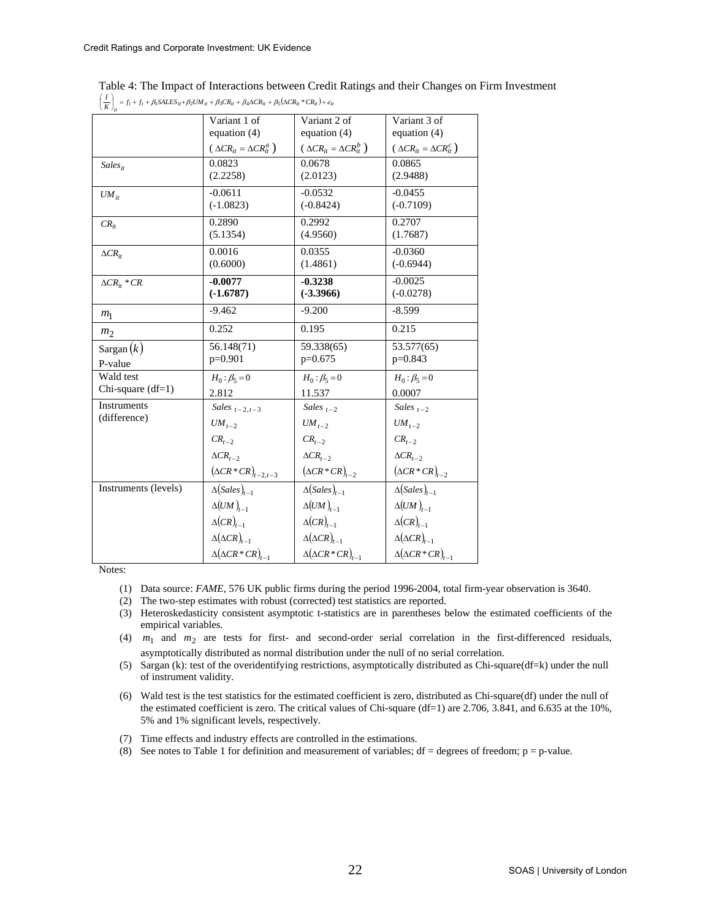| $\frac{I}{K}\bigg _{it} = f_i + f_t + \beta_1 SALES_{it} + \beta_2 UM_{it} + \beta_3 CR_{it} + \beta_4 \Delta CR_{it} + \beta_5 (\Delta CR_{it} * CR_{it}) + \varepsilon_{it}$ |                                       |                                       |                                       |
|--------------------------------------------------------------------------------------------------------------------------------------------------------------------------------|---------------------------------------|---------------------------------------|---------------------------------------|
|                                                                                                                                                                                | Variant 1 of                          | Variant 2 of                          | Variant 3 of                          |
|                                                                                                                                                                                | equation $(4)$                        | equation $(4)$                        | equation $(4)$                        |
|                                                                                                                                                                                | $(\Delta CR_{it} = \Delta CR_{it}^a)$ | $(\Delta CR_{it} = \Delta CR_{it}^b)$ | $(\Delta CR_{it} = \Delta CR_{it}^c)$ |
| $Sales_{it}$                                                                                                                                                                   | 0.0823                                | 0.0678                                | 0.0865                                |
|                                                                                                                                                                                | (2.2258)                              | (2.0123)                              | (2.9488)                              |
| $UM_{it}$                                                                                                                                                                      | $-0.0611$                             | $-0.0532$                             | $-0.0455$                             |
|                                                                                                                                                                                | $(-1.0823)$                           | $(-0.8424)$                           | $(-0.7109)$                           |
| $CR_{it}$                                                                                                                                                                      | 0.2890                                | 0.2992                                | 0.2707                                |
|                                                                                                                                                                                | (5.1354)                              | (4.9560)                              | (1.7687)                              |
| $\Delta CR_{it}$                                                                                                                                                               | 0.0016                                | 0.0355                                | $-0.0360$                             |
|                                                                                                                                                                                | (0.6000)                              | (1.4861)                              | $(-0.6944)$                           |
| $\Delta CR_{it} * CR$                                                                                                                                                          | $-0.0077$                             | $-0.3238$                             | $-0.0025$                             |
|                                                                                                                                                                                | $(-1.6787)$                           | $(-3.3966)$                           | $(-0.0278)$                           |
| m <sub>1</sub>                                                                                                                                                                 | $-9.462$                              | $-9.200$                              | $-8.599$                              |
| m <sub>2</sub>                                                                                                                                                                 | 0.252                                 | 0.195                                 | 0.215                                 |
| Sargan $(k)$                                                                                                                                                                   | 56.148(71)                            | 59.338(65)                            | 53.577(65)                            |
| P-value                                                                                                                                                                        | $p=0.901$                             | $p=0.675$                             | $p=0.843$                             |
| Wald test                                                                                                                                                                      | $H_0: \beta_5 = 0$                    | $H_0: \beta_5 = 0$                    | $H_0: \beta_5 = 0$                    |
| Chi-square $(df=1)$                                                                                                                                                            | 2.812                                 | 11.537                                | 0.0007                                |
| Instruments                                                                                                                                                                    | Sales $_{t-2,t-3}$                    | Sales $_{t-2}$                        | Sales $_{t=2}$                        |
| (difference)                                                                                                                                                                   | $UM_{t-2}$                            | $UM_{t-2}$                            | $UM_{t-2}$                            |
|                                                                                                                                                                                | $CR_{t-2}$                            | $CR_{t-2}$                            | $CR_{t-2}$                            |
|                                                                                                                                                                                | $\Delta CR_{t-2}$                     | $\Delta CR_{t-2}$                     | $\Delta CR_{t-2}$                     |
|                                                                                                                                                                                | $(\Delta CR \times CR)_{t-2,t-3}$     | $(\Delta CR \cdot CR)_{t-2}$          | $(\Delta CR \cdot CR)_{t-2}$          |
| Instruments (levels)                                                                                                                                                           | $\Delta(Sales)_{t-1}$                 | $\Delta(Sales)_{t-1}$                 | $\Delta(Sales)_{t=1}$                 |
|                                                                                                                                                                                | $\Delta(UM)_{t-1}$                    | $\Delta(UM)_{t-1}$                    | $\Delta (UM)_{t-1}$                   |
|                                                                                                                                                                                | $\Delta (CR)_{t-1}$                   | $\Delta(CR)_{t-1}$                    | $\Delta(CR)_{t-1}$                    |
|                                                                                                                                                                                | $\Delta(\Delta CR)_{t-1}$             | $\Delta(\Delta CR)_{t-1}$             | $\Delta(\Delta CR)_{t-1}$             |
|                                                                                                                                                                                | $\Delta(\Delta CR \cdot CR)_{t-1}$    | $\Delta(\Delta CR \cdot CR)_{t-1}$    | $\Delta(\Delta CR \cdot CR)_{t-1}$    |

Table 4: The Impact of Interactions between Credit Ratings and their Changes on Firm Investment

- (1) Data source: *FAME*, 576 UK public firms during the period 1996-2004, total firm-year observation is 3640.
- (2) The two-step estimates with robust (corrected) test statistics are reported.
- (3) Heteroskedasticity consistent asymptotic t-statistics are in parentheses below the estimated coefficients of the empirical variables.
- (4) *m*1 and *m*2 are tests for first- and second-order serial correlation in the first-differenced residuals, asymptotically distributed as normal distribution under the null of no serial correlation.
- (5) Sargan (k): test of the overidentifying restrictions, asymptotically distributed as Chi-square(df=k) under the null of instrument validity.
- (6) Wald test is the test statistics for the estimated coefficient is zero, distributed as Chi-square(df) under the null of the estimated coefficient is zero. The critical values of Chi-square (df=1) are 2.706, 3.841, and 6.635 at the 10%, 5% and 1% significant levels, respectively.
- (7) Time effects and industry effects are controlled in the estimations.
- (8) See notes to Table 1 for definition and measurement of variables;  $df = degrees of freedom$ ;  $p = p-value$ .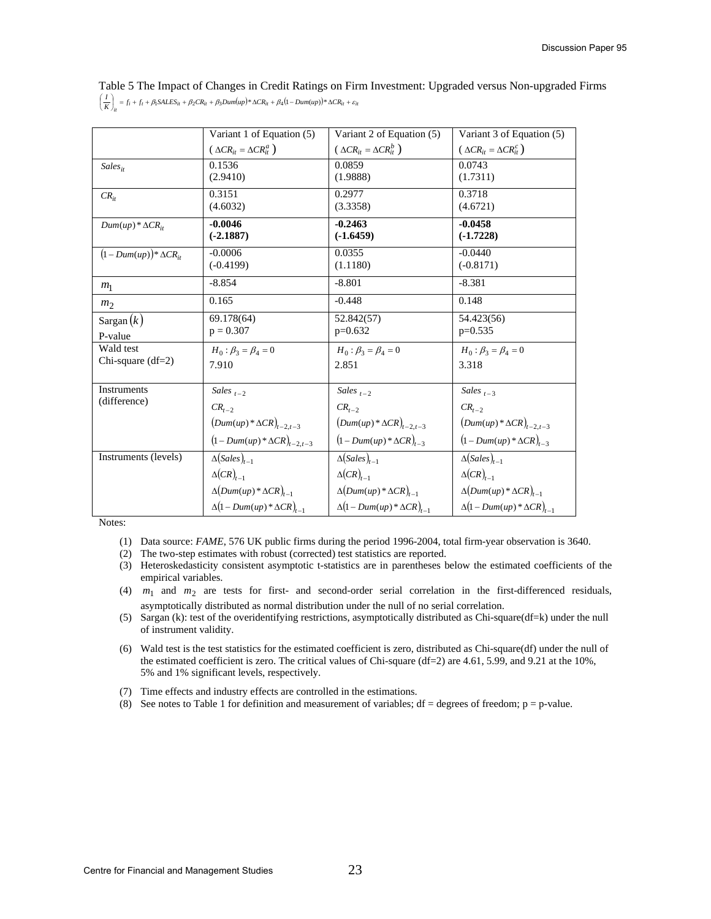Table 5 The Impact of Changes in Credit Ratings on Firm Investment: Upgraded versus Non-upgraded Firms  $\left(\frac{I}{K}\right)_{ii} = f_i + f_i + \beta_1 SALES_{ii} + \beta_2 CR_{ii} + \beta_3 Dum(\mu p) * \Delta CR_{ii} + \beta_4 (1 - Dum(\mu p)) * \Delta CR_{ii} + \varepsilon_{ii}$ 

|                               | Variant 1 of Equation (5)             | Variant 2 of Equation (5)             | Variant 3 of Equation (5)             |
|-------------------------------|---------------------------------------|---------------------------------------|---------------------------------------|
|                               | $(\Delta CR_{it} = \Delta CR_{it}^a)$ | $(\Delta CR_{it} = \Delta CR_{it}^b)$ | $(\Delta CR_{it} = \Delta CR_{it}^c)$ |
| $Sales_{it}$                  | 0.1536                                | 0.0859                                | 0.0743                                |
|                               | (2.9410)                              | (1.9888)                              | (1.7311)                              |
| $CR_{it}$                     | 0.3151                                | 0.2977                                | 0.3718                                |
|                               | (4.6032)                              | (3.3358)                              | (4.6721)                              |
| $Dum(up)*\Delta CR_{it}$      | $-0.0046$                             | $-0.2463$                             | $-0.0458$                             |
|                               | $(-2.1887)$                           | $(-1.6459)$                           | $(-1.7228)$                           |
| $(1-Dum(up))^*\Delta CR_{it}$ | $-0.0006$                             | 0.0355                                | $-0.0440$                             |
|                               | $(-0.4199)$                           | (1.1180)                              | $(-0.8171)$                           |
| m <sub>1</sub>                | $-8.854$                              | $-8.801$                              | $-8.381$                              |
| m <sub>2</sub>                | 0.165                                 | $-0.448$                              | 0.148                                 |
| Sargan $(k)$                  | 69.178(64)                            | 52.842(57)                            | 54.423(56)                            |
| P-value                       | $p = 0.307$                           | $p=0.632$                             | $p=0.535$                             |
| Wald test                     | $H_0: \beta_2 = \beta_4 = 0$          | $H_0: \beta_3 = \beta_4 = 0$          | $H_0: \beta_2 = \beta_4 = 0$          |
| Chi-square $(df=2)$           | 7.910                                 | 2.851                                 | 3.318                                 |
|                               |                                       |                                       |                                       |
| Instruments                   | Sales $_{t-2}$                        | Sales $_{t-2}$                        | Sales $_{t-3}$                        |
| (difference)                  | $CR_{t-2}$                            | $CR_{t-2}$                            | $CR_{t-2}$                            |
|                               | $(Dum(up)*\Delta CR)_{t-2,t-3}$       | $(Dum(up)*\Delta CR)_{t-2,t-3}$       | $(Dum(up)*\Delta CR)_{t-2,t-3}$       |
|                               | $(1 - Dum(up)*\Delta CR)_{t-2,t-3}$   | $(1-Dum(up)*\Delta CR)_{t-3}$         | $(1-Dum(up)*\Delta CR)_{t=3}$         |
| Instruments (levels)          | $\Delta(Sales)_{t-1}$                 | $\Delta(Sales)_{t-1}$                 | $\Delta(Sales)_{t-1}$                 |
|                               | $\Delta(CR)_{t-1}$                    | $\Delta(CR)_{t-1}$                    | $\Delta(CR)_{t-1}$                    |
|                               | $\Delta(Dum(up)^*\Delta CR)_{t-1}$    | $\Delta(Dum(up)^*\Delta CR)_{t-1}$    | $\Delta(Dum(up)^*\Delta CR)_{t-1}$    |
|                               | $\Delta(1-Dum(up)*\Delta CR)_{t-1}$   | $\Delta(1-Dum(up)*\Delta CR)_{t-1}$   | $\Delta(1-Dum(up)*\Delta CR)_{t-1}$   |

- (1) Data source: *FAME*, 576 UK public firms during the period 1996-2004, total firm-year observation is 3640.
- (2) The two-step estimates with robust (corrected) test statistics are reported.
- (3) Heteroskedasticity consistent asymptotic t-statistics are in parentheses below the estimated coefficients of the empirical variables.
- (4)  $m_1$  and  $m_2$  are tests for first- and second-order serial correlation in the first-differenced residuals, asymptotically distributed as normal distribution under the null of no serial correlation.
- (5) Sargan (k): test of the overidentifying restrictions, asymptotically distributed as Chi-square(df=k) under the null of instrument validity.
- (6) Wald test is the test statistics for the estimated coefficient is zero, distributed as Chi-square(df) under the null of the estimated coefficient is zero. The critical values of Chi-square (df=2) are 4.61, 5.99, and 9.21 at the 10%, 5% and 1% significant levels, respectively.
- (7) Time effects and industry effects are controlled in the estimations.
- (8) See notes to Table 1 for definition and measurement of variables;  $df = degrees$  of freedom;  $p = p-value$ .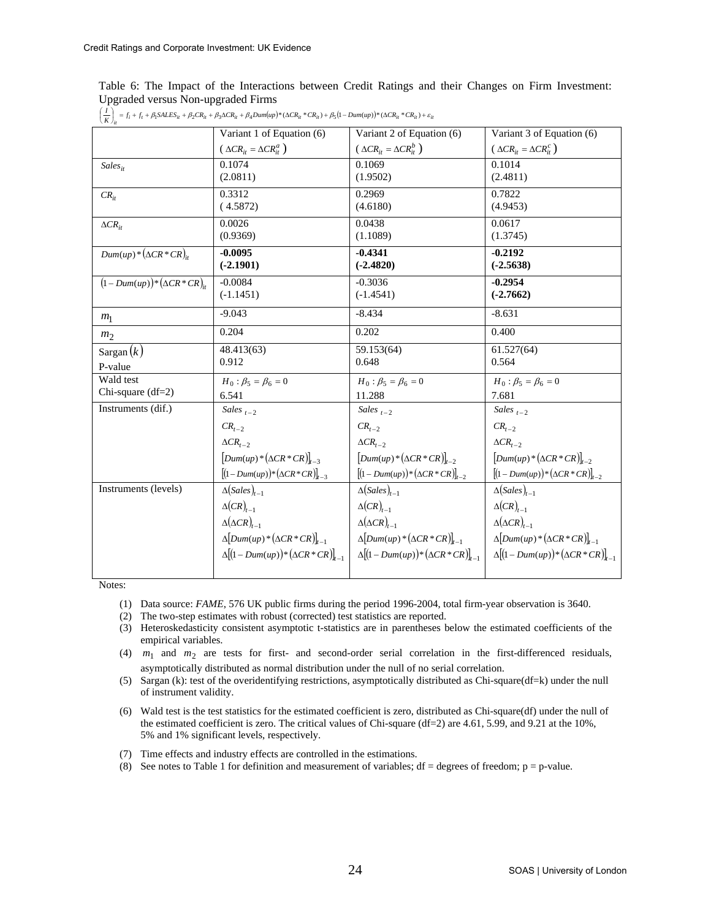Table 6: The Impact of the Interactions between Credit Ratings and their Changes on Firm Investment: Upgraded versus Non-upgraded Firms

|                                 | Variant 1 of Equation (6)                                                 | Variant 2 of Equation (6)                                      | Variant 3 of Equation (6)                                      |
|---------------------------------|---------------------------------------------------------------------------|----------------------------------------------------------------|----------------------------------------------------------------|
|                                 | $(\Delta CR_{it} = \Delta CR_{it}^a)$                                     | $(\Delta CR_{it} = \Delta CR_{it}^b)$                          | $(\Delta CR_{it} = \Delta CR_{it}^c)$                          |
| $Sales_{it}$                    | 0.1074<br>(2.0811)                                                        | 0.1069<br>(1.9502)                                             | 0.1014<br>(2.4811)                                             |
|                                 | 0.3312                                                                    | 0.2969                                                         | 0.7822                                                         |
| $CR_{it}$                       | (4.5872)                                                                  | (4.6180)                                                       | (4.9453)                                                       |
| $\Delta CR_{it}$                | 0.0026<br>(0.9369)                                                        | 0.0438<br>(1.1089)                                             | 0.0617<br>(1.3745)                                             |
| $Dum(up)*(\Delta CR * CR)_{it}$ | $-0.0095$<br>$(-2.1901)$                                                  | $-0.4341$<br>$(-2.4820)$                                       | $-0.2192$<br>$(-2.5638)$                                       |
| $(1-Dum(up))^*(\Delta CR*CR)_u$ | $-0.0084$<br>$(-1.1451)$                                                  | $-0.3036$<br>$(-1.4541)$                                       | $-0.2954$<br>$(-2.7662)$                                       |
| m <sub>1</sub>                  | $-9.043$                                                                  | $-8.434$                                                       | $-8.631$                                                       |
| m <sub>2</sub>                  | 0.204                                                                     | 0.202                                                          | 0.400                                                          |
| Sargan $(k)$                    | 48.413(63)                                                                | 59.153(64)                                                     | 61.527(64)                                                     |
| P-value                         | 0.912                                                                     | 0.648                                                          | 0.564                                                          |
| Wald test                       | $H_0: \beta_5 = \beta_6 = 0$                                              | $H_0: \beta_5 = \beta_6 = 0$                                   | $H_0: \beta_5 = \beta_6 = 0$                                   |
| Chi-square $(df=2)$             | 6.541                                                                     | 11.288                                                         | 7.681                                                          |
| Instruments (dif.)              | Sales $_{t-2}$                                                            | Sales $_{t=2}$                                                 | Sales $_{t=2}$                                                 |
|                                 | $CR_{t-2}$                                                                | $CR_{t-2}$                                                     | $CR_{t-2}$                                                     |
|                                 | $\Delta CR$ <sub>t-2</sub>                                                | $\Delta CR_{t-2}$                                              | $\Delta CR_{t-2}$                                              |
|                                 | $\left[$ <i>Dum</i> ( <i>up</i> ) * $(\Delta CR \cdot CR)\right]_{t=3}$   | $[Dum(up)*(\Delta CR * CR)]_{t=2}$                             | $[Dum(up)*(\Delta CR * CR)]_{t-2}$                             |
|                                 | $[(1-Dum(up)) * (\Delta CR * CR)]_{t-3}$                                  | $[(1-Dum(up)) * (\Delta CR * CR)]_{t-2}$                       | $[(1-Dum(up))*(\Delta CR*CR)]_{t-2}$                           |
| Instruments (levels)            | $\Delta(Sales)_{t-1}$                                                     | $\Delta(Sales)_{t-1}$                                          | $\Delta(Sales)_{t-1}$                                          |
|                                 | $\Delta(CR)_{t-1}$                                                        | $\Delta(CR)_{t-1}$                                             | $\Delta(CR)_{t-1}$                                             |
|                                 | $\Delta(\Delta CR)_{t-1}$                                                 | $\Delta(\Delta CR)_{t-1}$                                      | $\Delta(\Delta CR)_{t=1}$                                      |
|                                 | $\Delta$ [Dum(up)* $(\Delta CR$ *CR)] <sub>t-1</sub>                      | $\Delta$ [Dum(up)*( $\Delta CR$ *CR)] <sub>t-1</sub>           | $\Delta$ [Dum(up)* $(\Delta CR$ *CR)] <sub>t-1</sub>           |
|                                 | $\Delta\left[(1-Dum(up))\right)^{*}\left(\Delta CR+C R\right)\big _{t=1}$ | $\Delta \left[ (1 - Dum(up)) * (\Delta CR * CR) \right]_{t-1}$ | $\Delta \left[ (1 - Dum(up)) * (\Delta CR * CR) \right]_{t=1}$ |
|                                 |                                                                           |                                                                |                                                                |

 $\left(\frac{I}{K}\right)_{ii} = f_i + f_t + \beta_1 SALES_{ii} + \beta_2 CR_{ii} + \beta_3 \Delta CR_{ii} + \beta_4 Dum(up)*(\Delta CR_{ii} * CR_{ii}) + \beta_5 (1-Dum(up))*(\Delta CR_{ii} * CR_{ii}) + \varepsilon_{ii})$ 

- (1) Data source: *FAME*, 576 UK public firms during the period 1996-2004, total firm-year observation is 3640.
- (2) The two-step estimates with robust (corrected) test statistics are reported.
- (3) Heteroskedasticity consistent asymptotic t-statistics are in parentheses below the estimated coefficients of the empirical variables.
- (4)  $m_1$  and  $m_2$  are tests for first- and second-order serial correlation in the first-differenced residuals, asymptotically distributed as normal distribution under the null of no serial correlation.
- (5) Sargan (k): test of the overidentifying restrictions, asymptotically distributed as Chi-square(df=k) under the null of instrument validity.
- (6) Wald test is the test statistics for the estimated coefficient is zero, distributed as Chi-square(df) under the null of the estimated coefficient is zero. The critical values of Chi-square (df=2) are 4.61, 5.99, and 9.21 at the 10%, 5% and 1% significant levels, respectively.
- (7) Time effects and industry effects are controlled in the estimations.
- (8) See notes to Table 1 for definition and measurement of variables;  $df = degrees of freedom$ ;  $p = p-value$ .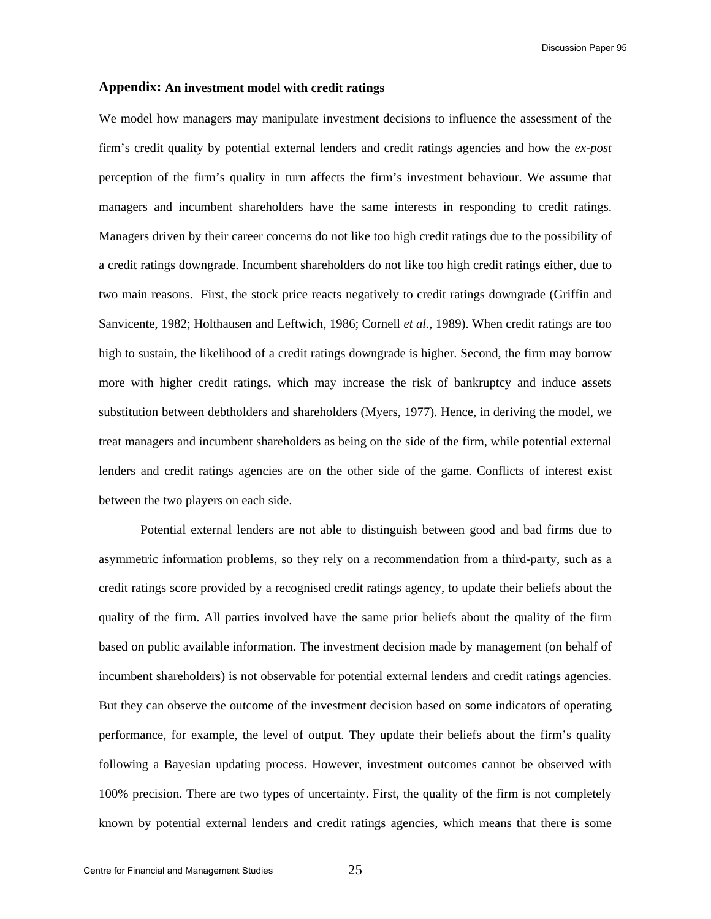Discussion Paper 95

### **Appendix: An investment model with credit ratings**

We model how managers may manipulate investment decisions to influence the assessment of the firm's credit quality by potential external lenders and credit ratings agencies and how the *ex-post* perception of the firm's quality in turn affects the firm's investment behaviour. We assume that managers and incumbent shareholders have the same interests in responding to credit ratings. Managers driven by their career concerns do not like too high credit ratings due to the possibility of a credit ratings downgrade. Incumbent shareholders do not like too high credit ratings either, due to two main reasons. First, the stock price reacts negatively to credit ratings downgrade (Griffin and Sanvicente, 1982; Holthausen and Leftwich, 1986; Cornell *et al.,* 1989). When credit ratings are too high to sustain, the likelihood of a credit ratings downgrade is higher. Second, the firm may borrow more with higher credit ratings, which may increase the risk of bankruptcy and induce assets substitution between debtholders and shareholders (Myers, 1977). Hence, in deriving the model, we treat managers and incumbent shareholders as being on the side of the firm, while potential external lenders and credit ratings agencies are on the other side of the game. Conflicts of interest exist between the two players on each side.

 Potential external lenders are not able to distinguish between good and bad firms due to asymmetric information problems, so they rely on a recommendation from a third-party, such as a credit ratings score provided by a recognised credit ratings agency, to update their beliefs about the quality of the firm. All parties involved have the same prior beliefs about the quality of the firm based on public available information. The investment decision made by management (on behalf of incumbent shareholders) is not observable for potential external lenders and credit ratings agencies. But they can observe the outcome of the investment decision based on some indicators of operating performance, for example, the level of output. They update their beliefs about the firm's quality following a Bayesian updating process. However, investment outcomes cannot be observed with 100% precision. There are two types of uncertainty. First, the quality of the firm is not completely known by potential external lenders and credit ratings agencies, which means that there is some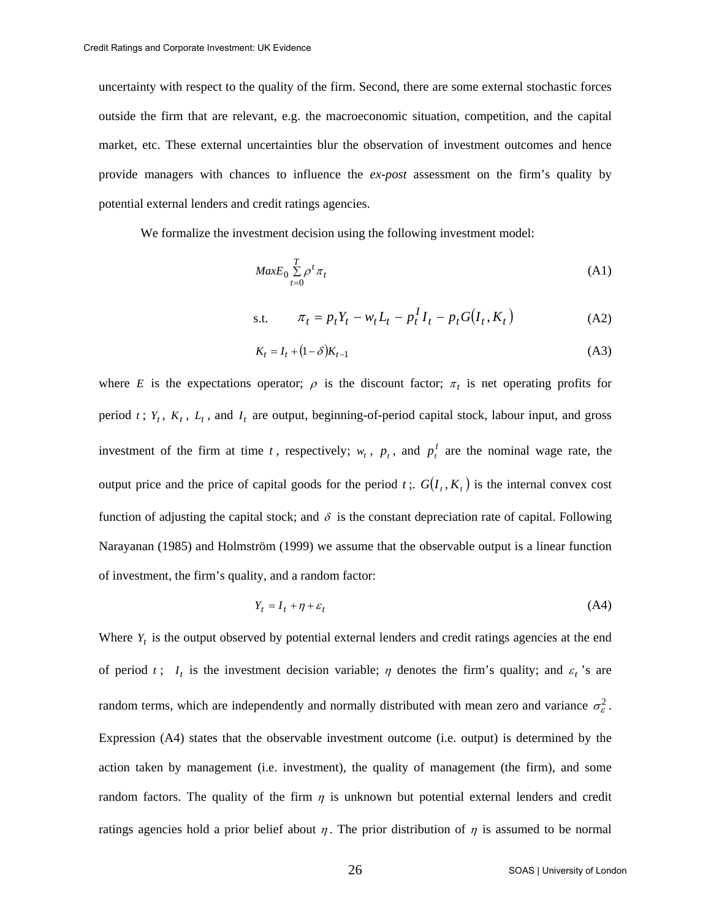uncertainty with respect to the quality of the firm. Second, there are some external stochastic forces outside the firm that are relevant, e.g. the macroeconomic situation, competition, and the capital market, etc. These external uncertainties blur the observation of investment outcomes and hence provide managers with chances to influence the *ex-post* assessment on the firm's quality by potential external lenders and credit ratings agencies.

We formalize the investment decision using the following investment model:

$$
MaxE_0 \sum_{t=0}^{T} \rho^t \pi_t
$$
 (A1)

s.t. 
$$
\pi_t = p_t Y_t - w_t L_t - p_t^I I_t - p_t G(I_t, K_t)
$$
 (A2)

$$
K_t = I_t + (1 - \delta)K_{t-1}
$$
 (A3)

where *E* is the expectations operator;  $\rho$  is the discount factor;  $\pi_t$  is net operating profits for period  $t$ ;  $Y_t$ ,  $K_t$ ,  $L_t$ , and  $I_t$  are output, beginning-of-period capital stock, labour input, and gross investment of the firm at time *t*, respectively;  $w_t$ ,  $p_t$ , and  $p_t^T$  are the nominal wage rate, the output price and the price of capital goods for the period  $t$ ;  $G(I_t, K_t)$  is the internal convex cost function of adjusting the capital stock; and  $\delta$  is the constant depreciation rate of capital. Following Narayanan (1985) and Holmström (1999) we assume that the observable output is a linear function of investment, the firm's quality, and a random factor:

$$
Y_t = I_t + \eta + \varepsilon_t \tag{A4}
$$

Where  $Y_t$  is the output observed by potential external lenders and credit ratings agencies at the end of period *t*;  $I_t$  is the investment decision variable;  $\eta$  denotes the firm's quality; and  $\varepsilon_t$ 's are random terms, which are independently and normally distributed with mean zero and variance  $\sigma_{\varepsilon}^2$ . Expression (A4) states that the observable investment outcome (i.e. output) is determined by the action taken by management (i.e. investment), the quality of management (the firm), and some random factors. The quality of the firm  $\eta$  is unknown but potential external lenders and credit ratings agencies hold a prior belief about  $\eta$ . The prior distribution of  $\eta$  is assumed to be normal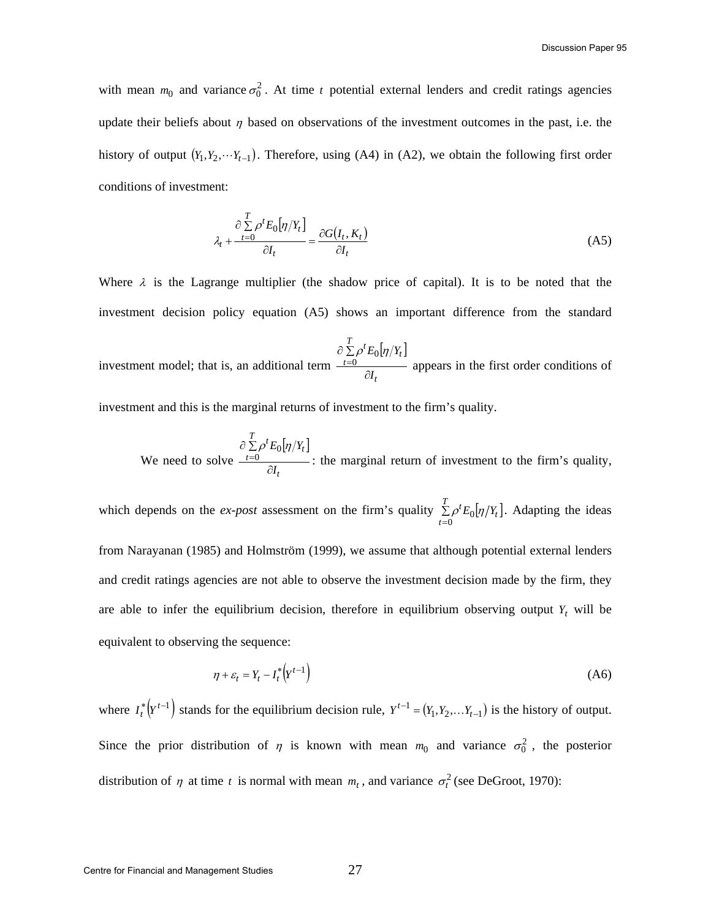with mean  $m_0$  and variance  $\sigma_0^2$ . At time *t* potential external lenders and credit ratings agencies update their beliefs about  $\eta$  based on observations of the investment outcomes in the past, i.e. the history of output  $(Y_1, Y_2, \cdots Y_{t-1})$ . Therefore, using (A4) in (A2), we obtain the following first order conditions of investment:

$$
\lambda_t + \frac{\partial \sum_{t=0}^{T} \rho^t E_0[\eta / Y_t]}{\partial I_t} = \frac{\partial G(I_t, K_t)}{\partial I_t}
$$
\n(A5)

Where  $\lambda$  is the Lagrange multiplier (the shadow price of capital). It is to be noted that the investment decision policy equation (A5) shows an important difference from the standard

investment model; that is, an additional term  $|\eta/Y_t|$ *t*  $\sum_{t=0}^{T} \rho^t E_0[\eta/Y_t]$ *I*  $E_0|\eta/Y$ ∂ ∂ ∑  $\sum_{n=0}^{\infty} P E_0[n]$ appears in the first order conditions of

investment and this is the marginal returns of investment to the firm's quality.

We need to solve  $|\eta/Y_t|$ *t*  $\sum_{t=0}^{T} \rho^t E_0[\eta / Y_t]$ *I*  $E_0|\eta/Y$ ∂ ∂ ∑  $\sum_{n=0}^{\infty} P E_0[n]$ : the marginal return of investment to the firm's quality,

which depends on the *ex-post* assessment on the firm's quality  $\sum \rho^t E_0[\eta|Y_t]$ =  $\sum_{t=0}^{T} \rho^t E_0[\eta / Y_t]$  $\sum_{i} \rho^t E_0[\eta/Y_t]$ . Adapting the ideas from Narayanan (1985) and Holmström (1999), we assume that although potential external lenders and credit ratings agencies are not able to observe the investment decision made by the firm, they are able to infer the equilibrium decision, therefore in equilibrium observing output  $Y_t$  will be equivalent to observing the sequence:

$$
\eta + \varepsilon_t = Y_t - I_t^* \left( Y^{t-1} \right) \tag{A6}
$$

where  $I_t^*$   $(Y^{t-1})$  stands for the equilibrium decision rule,  $Y^{t-1} = (Y_1, Y_2, \ldots, Y_{t-1})$  is the history of output. Since the prior distribution of  $\eta$  is known with mean  $m_0$  and variance  $\sigma_0^2$ , the posterior distribution of  $\eta$  at time *t* is normal with mean  $m_t$ , and variance  $\sigma_t^2$  (see DeGroot, 1970):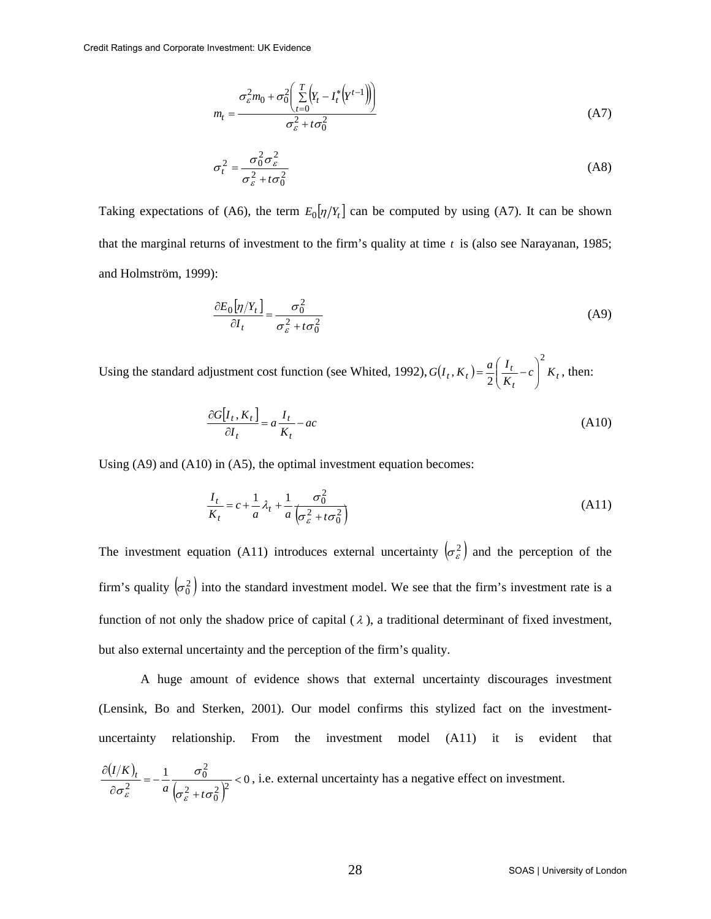$$
m_t = \frac{\sigma_\varepsilon^2 m_0 + \sigma_0^2 \left( \sum_{t=0}^T \left( Y_t - I_t^* \left( Y^{t-1} \right) \right) \right)}{\sigma_\varepsilon^2 + t \sigma_0^2} \tag{A7}
$$

$$
\sigma_t^2 = \frac{\sigma_0^2 \sigma_\varepsilon^2}{\sigma_\varepsilon^2 + t \sigma_0^2}
$$
 (A8)

Taking expectations of (A6), the term  $E_0[\eta/Y_t]$  can be computed by using (A7). It can be shown that the marginal returns of investment to the firm's quality at time *t* is (also see Narayanan, 1985; and Holmström, 1999):

$$
\frac{\partial E_0[\eta/Y_t]}{\partial I_t} = \frac{\sigma_0^2}{\sigma_\varepsilon^2 + t\sigma_0^2}
$$
 (A9)

Using the standard adjustment cost function (see Whited, 1992),  $G(I_t, K_t) = \frac{a}{2} \left( \frac{I_t}{K_t} - c \right) K_t$  $G(I_t, K_t) = \frac{a}{2} \left( \frac{I}{I} \right)$ 2  $(X_t) = \frac{a}{2} \left( \frac{I_t}{K_t} - c \right)$ ⎠ ⎞  $\parallel$ ⎝  $=\frac{a}{2}\left(\frac{I_t}{I_t}-c\right)^2 K_t$ , then:

$$
\frac{\partial G[I_t, K_t]}{\partial I_t} = a \frac{I_t}{K_t} - ac \tag{A10}
$$

Using (A9) and (A10) in (A5), the optimal investment equation becomes:

$$
\frac{I_t}{K_t} = c + \frac{1}{a} \lambda_t + \frac{1}{a} \frac{\sigma_0^2}{\left(\sigma_\varepsilon^2 + t\sigma_0^2\right)}\tag{A11}
$$

The investment equation (A11) introduces external uncertainty  $(\sigma_{\varepsilon}^2)$  and the perception of the firm's quality  $(\sigma_0^2)$  into the standard investment model. We see that the firm's investment rate is a function of not only the shadow price of capital ( $\lambda$ ), a traditional determinant of fixed investment, but also external uncertainty and the perception of the firm's quality.

A huge amount of evidence shows that external uncertainty discourages investment (Lensink, Bo and Sterken, 2001). Our model confirms this stylized fact on the investmentuncertainty relationship. From the investment model (A11) it is evident that  $\frac{(I/K)_t}{\partial \sigma_{\varepsilon}^2} = -\frac{1}{a} \frac{\sigma_0^2}{\left(\sigma_{\varepsilon}^2 + t \sigma_0^2\right)^2} < 0$  $\frac{2}{0}$  $\frac{2t}{2} = -\frac{1}{a} \frac{60}{(2-2)^2} <$  $\frac{\partial (I/K)_t}{\partial \sigma_{\varepsilon}^2} = -\frac{1}{a} \frac{\sigma}{\left(\sigma_{\varepsilon}^2 + \cdots \right)}$  $\sigma$   $+$  t $\sigma$ σ  $\sigma_{\varepsilon}^2$  *a*  $\left(\sigma_{\varepsilon}^2+t\right)$  $\frac{I/K}{I}$  =  $-\frac{1}{I}$   $\frac{\sigma_0^2}{I}$  < 0, i.e. external uncertainty has a negative effect on investment.